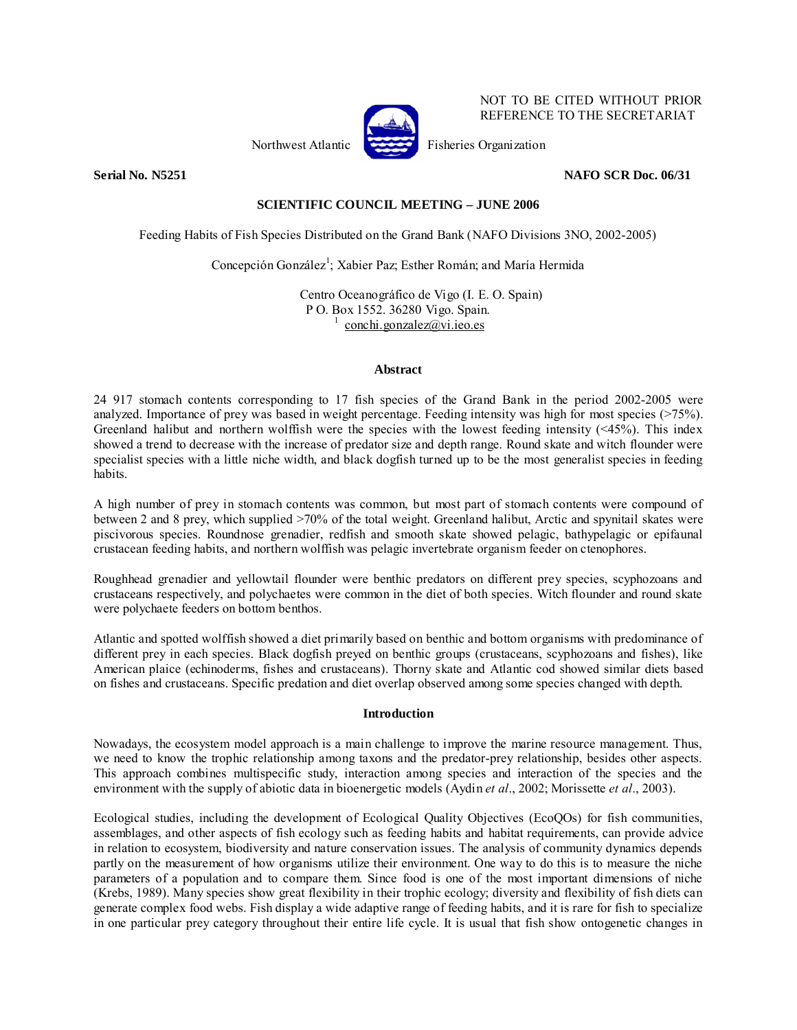

NOT TO BE CITED WITHOUT PRIOR REFERENCE TO THE SECRETARIAT

**Serial No. N5251 NAFO SCR Doc. 06/31** 

# **SCIENTIFIC COUNCIL MEETING – JUNE 2006**

Feeding Habits of Fish Species Distributed on the Grand Bank (NAFO Divisions 3NO, 2002-2005)

Concepción González<sup>1</sup>; Xabier Paz; Esther Román; and María Hermida

Centro Oceanográfico de Vigo (I. E. O. Spain) P O. Box 1552. 36280 Vigo. Spain. 1 conchi.gonzalez@vi.ieo.es

### **Abstract**

24 917 stomach contents corresponding to 17 fish species of the Grand Bank in the period 2002-2005 were analyzed. Importance of prey was based in weight percentage. Feeding intensity was high for most species (>75%). Greenland halibut and northern wolffish were the species with the lowest feeding intensity  $(\leq 45\%)$ . This index showed a trend to decrease with the increase of predator size and depth range. Round skate and witch flounder were specialist species with a little niche width, and black dogfish turned up to be the most generalist species in feeding habits.

A high number of prey in stomach contents was common, but most part of stomach contents were compound of between 2 and 8 prey, which supplied >70% of the total weight. Greenland halibut, Arctic and spynitail skates were piscivorous species. Roundnose grenadier, redfish and smooth skate showed pelagic, bathypelagic or epifaunal crustacean feeding habits, and northern wolffish was pelagic invertebrate organism feeder on ctenophores.

Roughhead grenadier and yellowtail flounder were benthic predators on different prey species, scyphozoans and crustaceans respectively, and polychaetes were common in the diet of both species. Witch flounder and round skate were polychaete feeders on bottom benthos.

Atlantic and spotted wolffish showed a diet primarily based on benthic and bottom organisms with predominance of different prey in each species. Black dogfish preyed on benthic groups (crustaceans, scyphozoans and fishes), like American plaice (echinoderms, fishes and crustaceans). Thorny skate and Atlantic cod showed similar diets based on fishes and crustaceans. Specific predation and diet overlap observed among some species changed with depth.

### **Introduction**

Nowadays, the ecosystem model approach is a main challenge to improve the marine resource management. Thus, we need to know the trophic relationship among taxons and the predator-prey relationship, besides other aspects. This approach combines multispecific study, interaction among species and interaction of the species and the environment with the supply of abiotic data in bioenergetic models (Aydin *et al*., 2002; Morissette *et al*., 2003).

Ecological studies, including the development of Ecological Quality Objectives (EcoQOs) for fish communities, assemblages, and other aspects of fish ecology such as feeding habits and habitat requirements, can provide advice in relation to ecosystem, biodiversity and nature conservation issues. The analysis of community dynamics depends partly on the measurement of how organisms utilize their environment. One way to do this is to measure the niche parameters of a population and to compare them. Since food is one of the most important dimensions of niche (Krebs, 1989). Many species show great flexibility in their trophic ecology; diversity and flexibility of fish diets can generate complex food webs. Fish display a wide adaptive range of feeding habits, and it is rare for fish to specialize in one particular prey category throughout their entire life cycle. It is usual that fish show ontogenetic changes in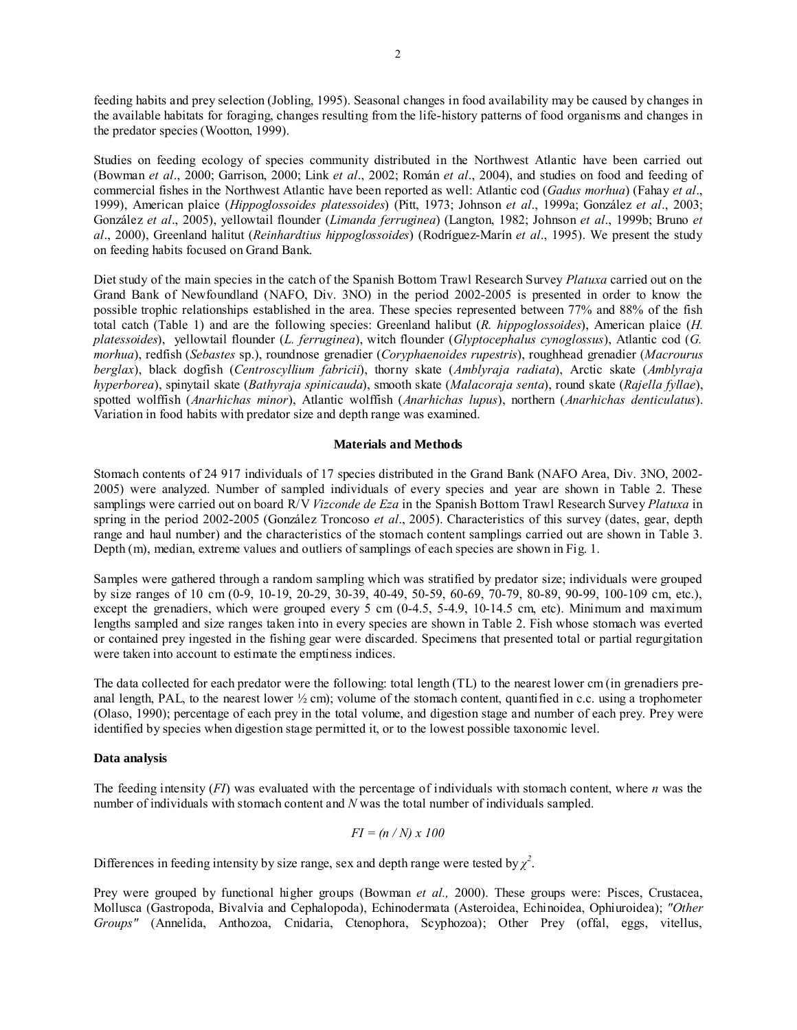feeding habits and prey selection (Jobling, 1995). Seasonal changes in food availability may be caused by changes in the available habitats for foraging, changes resulting from the life-history patterns of food organisms and changes in the predator species (Wootton, 1999).

Studies on feeding ecology of species community distributed in the Northwest Atlantic have been carried out (Bowman *et al*., 2000; Garrison, 2000; Link *et al*., 2002; Román *et al*., 2004), and studies on food and feeding of commercial fishes in the Northwest Atlantic have been reported as well: Atlantic cod (*Gadus morhua*) (Fahay *et al*., 1999), American plaice (*Hippoglossoides platessoides*) (Pitt, 1973; Johnson *et al*., 1999a; González *et al*., 2003; González *et al*., 2005), yellowtail flounder (*Limanda ferruginea*) (Langton, 1982; Johnson *et al*., 1999b; Bruno *et al*., 2000), Greenland halitut (*Reinhardtius hippoglossoides*) (Rodríguez-Marín *et al*., 1995). We present the study on feeding habits focused on Grand Bank.

Diet study of the main species in the catch of the Spanish Bottom Trawl Research Survey *Platuxa* carried out on the Grand Bank of Newfoundland (NAFO, Div. 3NO) in the period 2002-2005 is presented in order to know the possible trophic relationships established in the area. These species represented between 77% and 88% of the fish total catch (Table 1) and are the following species: Greenland halibut (*R. hippoglossoides*), American plaice (*H. platessoides*), yellowtail flounder (*L. ferruginea*), witch flounder (*Glyptocephalus cynoglossus*), Atlantic cod (*G. morhua*), redfish (*Sebastes* sp.), roundnose grenadier (*Coryphaenoides rupestris*), roughhead grenadier (*Macrourus berglax*), black dogfish (*Centroscyllium fabricii*), thorny skate (*Amblyraja radiata*), Arctic skate (*Amblyraja hyperborea*), spinytail skate (*Bathyraja spinicauda*), smooth skate (*Malacoraja senta*), round skate (*Rajella fyllae*), spotted wolffish (*Anarhichas minor*), Atlantic wolffish (*Anarhichas lupus*), northern (*Anarhichas denticulatus*). Variation in food habits with predator size and depth range was examined.

#### **Materials and Methods**

Stomach contents of 24 917 individuals of 17 species distributed in the Grand Bank (NAFO Area, Div. 3NO, 2002- 2005) were analyzed. Number of sampled individuals of every species and year are shown in Table 2. These samplings were carried out on board R/V *Vizconde de Eza* in the Spanish Bottom Trawl Research Survey *Platuxa* in spring in the period 2002-2005 (González Troncoso *et al*., 2005). Characteristics of this survey (dates, gear, depth range and haul number) and the characteristics of the stomach content samplings carried out are shown in Table 3. Depth (m), median, extreme values and outliers of samplings of each species are shown in Fig. 1.

Samples were gathered through a random sampling which was stratified by predator size; individuals were grouped by size ranges of 10 cm (0-9, 10-19, 20-29, 30-39, 40-49, 50-59, 60-69, 70-79, 80-89, 90-99, 100-109 cm, etc.), except the grenadiers, which were grouped every 5 cm (0-4.5, 5-4.9, 10-14.5 cm, etc). Minimum and maximum lengths sampled and size ranges taken into in every species are shown in Table 2. Fish whose stomach was everted or contained prey ingested in the fishing gear were discarded. Specimens that presented total or partial regurgitation were taken into account to estimate the emptiness indices.

The data collected for each predator were the following: total length (TL) to the nearest lower cm (in grenadiers preanal length, PAL, to the nearest lower  $\frac{1}{2}$  cm); volume of the stomach content, quantified in c.c. using a trophometer (Olaso, 1990); percentage of each prey in the total volume, and digestion stage and number of each prey. Prey were identified by species when digestion stage permitted it, or to the lowest possible taxonomic level.

### **Data analysis**

The feeding intensity (*FI*) was evaluated with the percentage of individuals with stomach content, where *n* was the number of individuals with stomach content and *N* was the total number of individuals sampled.

$$
FI = (n/N) \times 100
$$

Differences in feeding intensity by size range, sex and depth range were tested by  $\chi^2$ .

Prey were grouped by functional higher groups (Bowman *et al.,* 2000). These groups were: Pisces, Crustacea, Mollusca (Gastropoda, Bivalvia and Cephalopoda), Echinodermata (Asteroidea, Echinoidea, Ophiuroidea); *"Other Groups"* (Annelida, Anthozoa, Cnidaria, Ctenophora, Scyphozoa); Other Prey (offal, eggs, vitellus,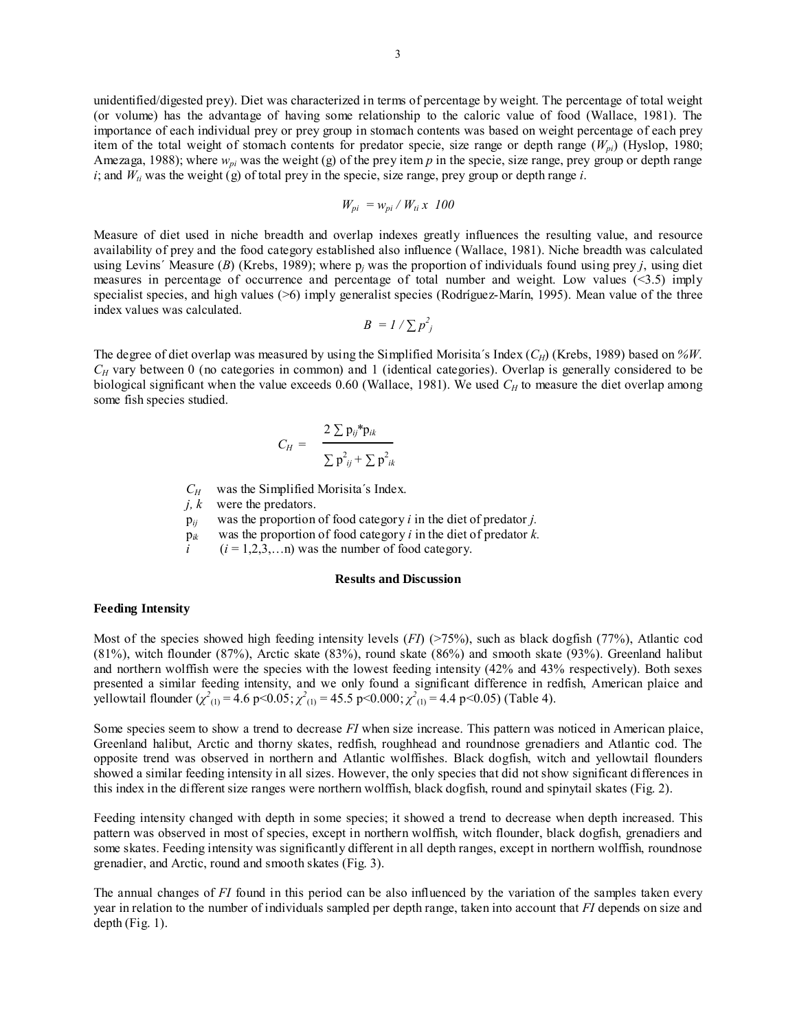unidentified/digested prey). Diet was characterized in terms of percentage by weight. The percentage of total weight (or volume) has the advantage of having some relationship to the caloric value of food (Wallace, 1981). The importance of each individual prey or prey group in stomach contents was based on weight percentage of each prey item of the total weight of stomach contents for predator specie, size range or depth range (*Wpi*) (Hyslop, 1980; Amezaga, 1988); where  $w_{pi}$  was the weight (g) of the prey item  $p$  in the specie, size range, prey group or depth range  $i$ ; and  $W_{ii}$  was the weight (g) of total prey in the specie, size range, prey group or depth range  $i$ .

$$
W_{pi} = w_{pi} / W_{ti} x \ 100
$$

Measure of diet used in niche breadth and overlap indexes greatly influences the resulting value, and resource availability of prey and the food category established also influence (Wallace, 1981). Niche breadth was calculated using Levins´ Measure (*B*) (Krebs, 1989); where  $p_j$  was the proportion of individuals found using prey *j*, using diet measures in percentage of occurrence and percentage of total number and weight. Low values (<3.5) imply specialist species, and high values (>6) imply generalist species (Rodríguez-Marín, 1995). Mean value of the three index values was calculated.

$$
B = I / \sum p_j^2
$$

The degree of diet overlap was measured by using the Simplified Morisita´s Index (*CH*) (Krebs, 1989) based on *%W*. *CH* vary between 0 (no categories in common) and 1 (identical categories). Overlap is generally considered to be biological significant when the value exceeds  $0.60$  (Wallace, 1981). We used  $C_H$  to measure the diet overlap among some fish species studied.

$$
C_H = \frac{2 \sum p_{ij}^* p_{ik}}{\sum p_{ij}^2 + \sum p_{ik}^2}
$$

*CH* was the Simplified Morisita´s Index.

- *j, k* were the predators.
- p*ij* was the proportion of food category *i* in the diet of predator *j.*
- p*ik* was the proportion of food category *i* in the diet of predator *k.*
- $i$  ( $i = 1,2,3,...n$ ) was the number of food category.

#### **Results and Discussion**

## **Feeding Intensity**

Most of the species showed high feeding intensity levels (*FI*) (>75%), such as black dogfish (77%), Atlantic cod (81%), witch flounder (87%), Arctic skate (83%), round skate (86%) and smooth skate (93%). Greenland halibut and northern wolffish were the species with the lowest feeding intensity (42% and 43% respectively). Both sexes presented a similar feeding intensity, and we only found a significant difference in redfish, American plaice and yellowtail flounder  $(\chi^2_{(1)} = 4.6 \text{ p} < 0.05; \chi^2_{(1)} = 45.5 \text{ p} < 0.000; \chi^2_{(1)} = 4.4 \text{ p} < 0.05)$  (Table 4).

Some species seem to show a trend to decrease *FI* when size increase. This pattern was noticed in American plaice, Greenland halibut, Arctic and thorny skates, redfish, roughhead and roundnose grenadiers and Atlantic cod. The opposite trend was observed in northern and Atlantic wolffishes. Black dogfish, witch and yellowtail flounders showed a similar feeding intensity in all sizes. However, the only species that did not show significant differences in this index in the different size ranges were northern wolffish, black dogfish, round and spinytail skates (Fig. 2).

Feeding intensity changed with depth in some species; it showed a trend to decrease when depth increased. This pattern was observed in most of species, except in northern wolffish, witch flounder, black dogfish, grenadiers and some skates. Feeding intensity was significantly different in all depth ranges, except in northern wolffish, roundnose grenadier, and Arctic, round and smooth skates (Fig. 3).

The annual changes of *FI* found in this period can be also influenced by the variation of the samples taken every year in relation to the number of individuals sampled per depth range, taken into account that *FI* depends on size and depth (Fig. 1).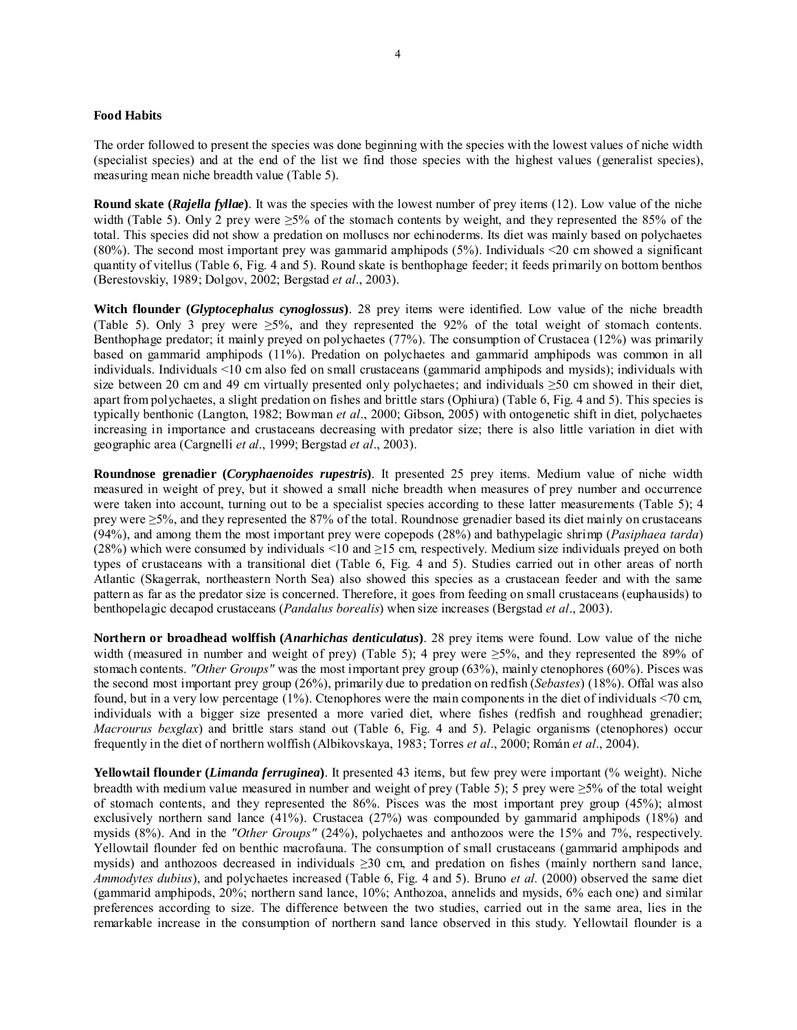#### **Food Habits**

The order followed to present the species was done beginning with the species with the lowest values of niche width (specialist species) and at the end of the list we find those species with the highest values (generalist species), measuring mean niche breadth value (Table 5).

**Round skate (***Rajella fyllae***)**. It was the species with the lowest number of prey items (12). Low value of the niche width (Table 5). Only 2 prey were  $\geq 5\%$  of the stomach contents by weight, and they represented the 85% of the total. This species did not show a predation on molluscs nor echinoderms. Its diet was mainly based on polychaetes (80%). The second most important prey was gammarid amphipods (5%). Individuals <20 cm showed a significant quantity of vitellus (Table 6, Fig. 4 and 5). Round skate is benthophage feeder; it feeds primarily on bottom benthos (Berestovskiy, 1989; Dolgov, 2002; Bergstad *et al*., 2003).

**Witch flounder (***Glyptocephalus cynoglossus***)**. 28 prey items were identified. Low value of the niche breadth (Table 5). Only 3 prey were ≥5%, and they represented the 92% of the total weight of stomach contents. Benthophage predator; it mainly preyed on polychaetes (77%). The consumption of Crustacea (12%) was primarily based on gammarid amphipods (11%). Predation on polychaetes and gammarid amphipods was common in all individuals. Individuals <10 cm also fed on small crustaceans (gammarid amphipods and mysids); individuals with size between 20 cm and 49 cm virtually presented only polychaetes; and individuals  $\geq$ 50 cm showed in their diet, apart from polychaetes, a slight predation on fishes and brittle stars (Ophiura) (Table 6, Fig. 4 and 5). This species is typically benthonic (Langton, 1982; Bowman *et al*., 2000; Gibson, 2005) with ontogenetic shift in diet, polychaetes increasing in importance and crustaceans decreasing with predator size; there is also little variation in diet with geographic area (Cargnelli *et al*., 1999; Bergstad *et al*., 2003).

**Roundnose grenadier (***Coryphaenoides rupestris***)**. It presented 25 prey items. Medium value of niche width measured in weight of prey, but it showed a small niche breadth when measures of prey number and occurrence were taken into account, turning out to be a specialist species according to these latter measurements (Table 5); 4 prey were ≥5%, and they represented the 87% of the total. Roundnose grenadier based its diet mainly on crustaceans (94%), and among them the most important prey were copepods (28%) and bathypelagic shrimp (*Pasiphaea tarda*) (28%) which were consumed by individuals <10 and ≥15 cm, respectively. Medium size individuals preyed on both types of crustaceans with a transitional diet (Table 6, Fig. 4 and 5). Studies carried out in other areas of north Atlantic (Skagerrak, northeastern North Sea) also showed this species as a crustacean feeder and with the same pattern as far as the predator size is concerned. Therefore, it goes from feeding on small crustaceans (euphausids) to benthopelagic decapod crustaceans (*Pandalus borealis*) when size increases (Bergstad *et al*., 2003).

**Northern or broadhead wolffish (***Anarhichas denticulatus***)**. 28 prey items were found. Low value of the niche width (measured in number and weight of prey) (Table 5); 4 prey were  $\geq$ 5%, and they represented the 89% of stomach contents. *"Other Groups"* was the most important prey group (63%), mainly ctenophores (60%). Pisces was the second most important prey group (26%), primarily due to predation on redfish (*Sebastes*) (18%). Offal was also found, but in a very low percentage (1%). Ctenophores were the main components in the diet of individuals <70 cm, individuals with a bigger size presented a more varied diet, where fishes (redfish and roughhead grenadier; *Macrourus bexglax*) and brittle stars stand out (Table 6, Fig. 4 and 5). Pelagic organisms (ctenophores) occur frequently in the diet of northern wolffish (Albikovskaya, 1983; Torres *et al*., 2000; Román *et al*., 2004).

**Yellowtail flounder (***Limanda ferruginea***)**. It presented 43 items, but few prey were important (% weight). Niche breadth with medium value measured in number and weight of prey (Table 5); 5 prey were ≥5% of the total weight of stomach contents, and they represented the 86%. Pisces was the most important prey group (45%); almost exclusively northern sand lance (41%). Crustacea (27%) was compounded by gammarid amphipods (18%) and mysids (8%). And in the *"Other Groups"* (24%), polychaetes and anthozoos were the 15% and 7%, respectively. Yellowtail flounder fed on benthic macrofauna. The consumption of small crustaceans (gammarid amphipods and mysids) and anthozoos decreased in individuals ≥30 cm, and predation on fishes (mainly northern sand lance, *Ammodytes dubius*), and polychaetes increased (Table 6, Fig. 4 and 5). Bruno *et al.* (2000) observed the same diet (gammarid amphipods, 20%; northern sand lance, 10%; Anthozoa, annelids and mysids, 6% each one) and similar preferences according to size. The difference between the two studies, carried out in the same area, lies in the remarkable increase in the consumption of northern sand lance observed in this study. Yellowtail flounder is a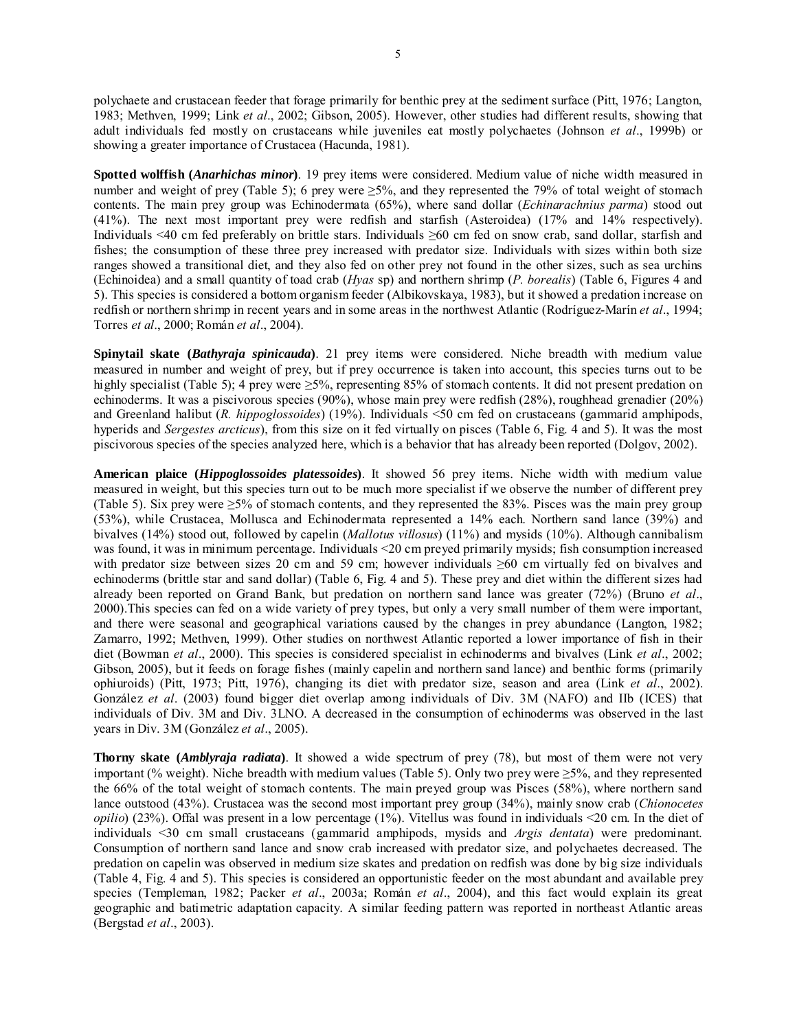polychaete and crustacean feeder that forage primarily for benthic prey at the sediment surface (Pitt, 1976; Langton, 1983; Methven, 1999; Link *et al*., 2002; Gibson, 2005). However, other studies had different results, showing that adult individuals fed mostly on crustaceans while juveniles eat mostly polychaetes (Johnson *et al*., 1999b) or showing a greater importance of Crustacea (Hacunda, 1981).

**Spotted wolffish (***Anarhichas minor***)**. 19 prey items were considered. Medium value of niche width measured in number and weight of prey (Table 5); 6 prey were  $\geq 5\%$ , and they represented the 79% of total weight of stomach contents. The main prey group was Echinodermata (65%), where sand dollar (*Echinarachnius parma*) stood out (41%). The next most important prey were redfish and starfish (Asteroidea) (17% and 14% respectively). Individuals <40 cm fed preferably on brittle stars. Individuals ≥60 cm fed on snow crab, sand dollar, starfish and fishes; the consumption of these three prey increased with predator size. Individuals with sizes within both size ranges showed a transitional diet, and they also fed on other prey not found in the other sizes, such as sea urchins (Echinoidea) and a small quantity of toad crab (*Hyas* sp) and northern shrimp (*P. borealis*) (Table 6, Figures 4 and 5). This species is considered a bottom organism feeder (Albikovskaya, 1983), but it showed a predation increase on redfish or northern shrimp in recent years and in some areas in the northwest Atlantic (Rodríguez-Marín *et al*., 1994; Torres *et al*., 2000; Román *et al*., 2004).

**Spinytail skate (***Bathyraja spinicauda***)**. 21 prey items were considered. Niche breadth with medium value measured in number and weight of prey, but if prey occurrence is taken into account, this species turns out to be highly specialist (Table 5); 4 prey were ≥5%, representing 85% of stomach contents. It did not present predation on echinoderms. It was a piscivorous species (90%), whose main prey were redfish (28%), roughhead grenadier (20%) and Greenland halibut (*R. hippoglossoides*) (19%). Individuals <50 cm fed on crustaceans (gammarid amphipods, hyperids and *Sergestes arcticus*), from this size on it fed virtually on pisces (Table 6, Fig. 4 and 5). It was the most piscivorous species of the species analyzed here, which is a behavior that has already been reported (Dolgov, 2002).

**American plaice (***Hippoglossoides platessoides***)**. It showed 56 prey items. Niche width with medium value measured in weight, but this species turn out to be much more specialist if we observe the number of different prey (Table 5). Six prey were ≥5% of stomach contents, and they represented the 83%. Pisces was the main prey group (53%), while Crustacea, Mollusca and Echinodermata represented a 14% each. Northern sand lance (39%) and bivalves (14%) stood out, followed by capelin (*Mallotus villosus*) (11%) and mysids (10%). Although cannibalism was found, it was in minimum percentage. Individuals <20 cm preyed primarily mysids; fish consumption increased with predator size between sizes 20 cm and 59 cm; however individuals ≥60 cm virtually fed on bivalves and echinoderms (brittle star and sand dollar) (Table 6, Fig. 4 and 5). These prey and diet within the different sizes had already been reported on Grand Bank, but predation on northern sand lance was greater (72%) (Bruno *et al*., 2000).This species can fed on a wide variety of prey types, but only a very small number of them were important, and there were seasonal and geographical variations caused by the changes in prey abundance (Langton, 1982; Zamarro, 1992; Methven, 1999). Other studies on northwest Atlantic reported a lower importance of fish in their diet (Bowman *et al*., 2000). This species is considered specialist in echinoderms and bivalves (Link *et al*., 2002; Gibson, 2005), but it feeds on forage fishes (mainly capelin and northern sand lance) and benthic forms (primarily ophiuroids) (Pitt, 1973; Pitt, 1976), changing its diet with predator size, season and area (Link *et al*., 2002). González *et al*. (2003) found bigger diet overlap among individuals of Div. 3M (NAFO) and IIb (ICES) that individuals of Div. 3M and Div. 3LNO. A decreased in the consumption of echinoderms was observed in the last years in Div. 3M (González *et al*., 2005).

**Thorny skate (***Amblyraja radiata***)**. It showed a wide spectrum of prey (78), but most of them were not very important (% weight). Niche breadth with medium values (Table 5). Only two prey were ≥5%, and they represented the 66% of the total weight of stomach contents. The main preyed group was Pisces (58%), where northern sand lance outstood (43%). Crustacea was the second most important prey group (34%), mainly snow crab (*Chionocetes opilio*) (23%). Offal was present in a low percentage (1%). Vitellus was found in individuals <20 cm. In the diet of individuals <30 cm small crustaceans (gammarid amphipods, mysids and *Argis dentata*) were predominant. Consumption of northern sand lance and snow crab increased with predator size, and polychaetes decreased. The predation on capelin was observed in medium size skates and predation on redfish was done by big size individuals (Table 4, Fig. 4 and 5). This species is considered an opportunistic feeder on the most abundant and available prey species (Templeman, 1982; Packer *et al*., 2003a; Román *et al*., 2004), and this fact would explain its great geographic and batimetric adaptation capacity. A similar feeding pattern was reported in northeast Atlantic areas (Bergstad *et al*., 2003).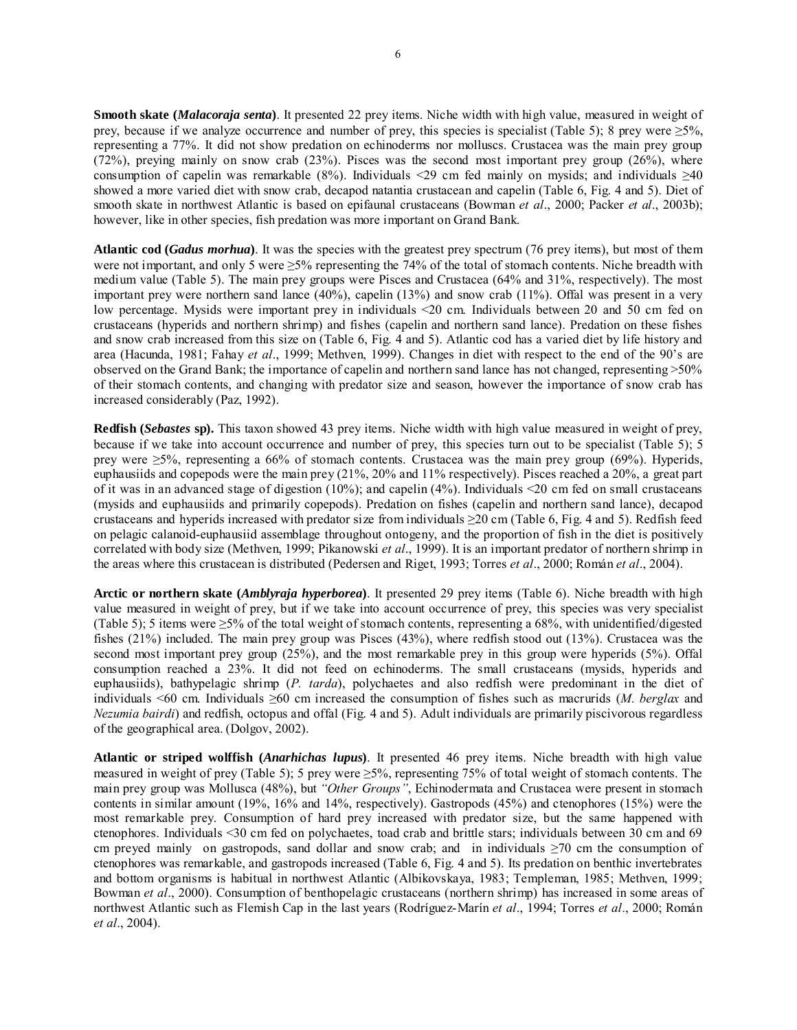**Smooth skate (***Malacoraja senta***)**. It presented 22 prey items. Niche width with high value, measured in weight of prey, because if we analyze occurrence and number of prey, this species is specialist (Table 5); 8 prey were  $\geq 5\%$ , representing a 77%. It did not show predation on echinoderms nor molluscs. Crustacea was the main prey group (72%), preying mainly on snow crab (23%). Pisces was the second most important prey group (26%), where consumption of capelin was remarkable (8%). Individuals <29 cm fed mainly on mysids; and individuals  $\geq 40$ showed a more varied diet with snow crab, decapod natantia crustacean and capelin (Table 6, Fig. 4 and 5). Diet of smooth skate in northwest Atlantic is based on epifaunal crustaceans (Bowman *et al*., 2000; Packer *et al*., 2003b); however, like in other species, fish predation was more important on Grand Bank.

**Atlantic cod (***Gadus morhua***)**. It was the species with the greatest prey spectrum (76 prey items), but most of them were not important, and only 5 were  $\geq 5\%$  representing the 74% of the total of stomach contents. Niche breadth with medium value (Table 5). The main prey groups were Pisces and Crustacea (64% and 31%, respectively). The most important prey were northern sand lance (40%), capelin (13%) and snow crab (11%). Offal was present in a very low percentage. Mysids were important prey in individuals <20 cm. Individuals between 20 and 50 cm fed on crustaceans (hyperids and northern shrimp) and fishes (capelin and northern sand lance). Predation on these fishes and snow crab increased from this size on (Table 6, Fig. 4 and 5). Atlantic cod has a varied diet by life history and area (Hacunda, 1981; Fahay *et al*., 1999; Methven, 1999). Changes in diet with respect to the end of the 90's are observed on the Grand Bank; the importance of capelin and northern sand lance has not changed, representing >50% of their stomach contents, and changing with predator size and season, however the importance of snow crab has increased considerably (Paz, 1992).

**Redfish (***Sebastes* **sp).** This taxon showed 43 prey items. Niche width with high value measured in weight of prey, because if we take into account occurrence and number of prey, this species turn out to be specialist (Table 5); 5 prey were  $\geq 5\%$ , representing a 66% of stomach contents. Crustacea was the main prey group (69%). Hyperids, euphausiids and copepods were the main prey (21%, 20% and 11% respectively). Pisces reached a 20%, a great part of it was in an advanced stage of digestion (10%); and capelin (4%). Individuals <20 cm fed on small crustaceans (mysids and euphausiids and primarily copepods). Predation on fishes (capelin and northern sand lance), decapod crustaceans and hyperids increased with predator size from individuals  $\geq$  20 cm (Table 6, Fig. 4 and 5). Redfish feed on pelagic calanoid-euphausiid assemblage throughout ontogeny, and the proportion of fish in the diet is positively correlated with body size (Methven, 1999; Pikanowski *et al*., 1999). It is an important predator of northern shrimp in the areas where this crustacean is distributed (Pedersen and Riget, 1993; Torres *et al*., 2000; Román *et al*., 2004).

**Arctic or northern skate (***Amblyraja hyperborea***)**. It presented 29 prey items (Table 6). Niche breadth with high value measured in weight of prey, but if we take into account occurrence of prey, this species was very specialist (Table 5); 5 items were  $\geq 5\%$  of the total weight of stomach contents, representing a 68%, with unidentified/digested fishes (21%) included. The main prey group was Pisces (43%), where redfish stood out (13%). Crustacea was the second most important prey group (25%), and the most remarkable prey in this group were hyperids (5%). Offal consumption reached a 23%. It did not feed on echinoderms. The small crustaceans (mysids, hyperids and euphausiids), bathypelagic shrimp (*P. tarda*), polychaetes and also redfish were predominant in the diet of individuals <60 cm. Individuals ≥60 cm increased the consumption of fishes such as macrurids (*M. berglax* and *Nezumia bairdi*) and redfish, octopus and offal (Fig. 4 and 5). Adult individuals are primarily piscivorous regardless of the geographical area. (Dolgov, 2002).

**Atlantic or striped wolffish (***Anarhichas lupus***)**. It presented 46 prey items. Niche breadth with high value measured in weight of prey (Table 5); 5 prey were ≥5%, representing 75% of total weight of stomach contents. The main prey group was Mollusca (48%), but *"Other Groups"*, Echinodermata and Crustacea were present in stomach contents in similar amount (19%, 16% and 14%, respectively). Gastropods (45%) and ctenophores (15%) were the most remarkable prey. Consumption of hard prey increased with predator size, but the same happened with ctenophores. Individuals <30 cm fed on polychaetes, toad crab and brittle stars; individuals between 30 cm and 69 cm preyed mainly on gastropods, sand dollar and snow crab; and in individuals  $\geq 70$  cm the consumption of ctenophores was remarkable, and gastropods increased (Table 6, Fig. 4 and 5). Its predation on benthic invertebrates and bottom organisms is habitual in northwest Atlantic (Albikovskaya, 1983; Templeman, 1985; Methven, 1999; Bowman *et al*., 2000). Consumption of benthopelagic crustaceans (northern shrimp) has increased in some areas of northwest Atlantic such as Flemish Cap in the last years (Rodríguez-Marín *et al*., 1994; Torres *et al*., 2000; Román *et al*., 2004).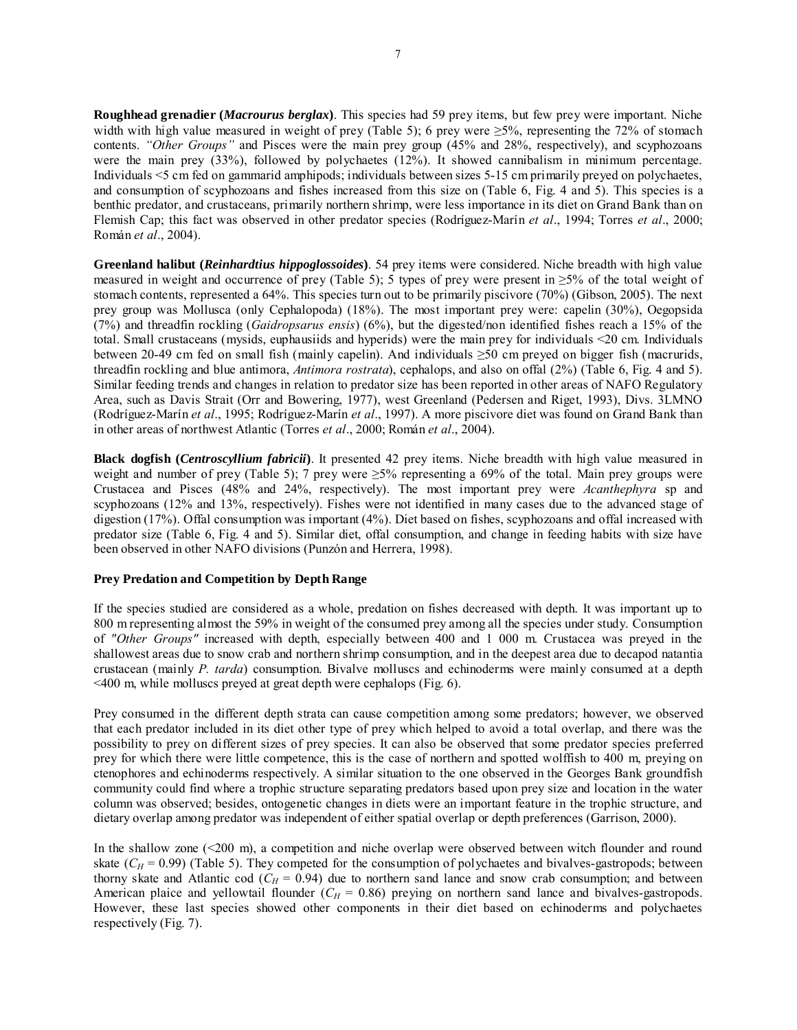**Roughhead grenadier (***Macrourus berglax***)**. This species had 59 prey items, but few prey were important. Niche width with high value measured in weight of prey (Table 5); 6 prey were  $\geq 5\%$ , representing the 72% of stomach contents. *"Other Groups"* and Pisces were the main prey group (45% and 28%, respectively), and scyphozoans were the main prey (33%), followed by polychaetes (12%). It showed cannibalism in minimum percentage. Individuals <5 cm fed on gammarid amphipods; individuals between sizes 5-15 cm primarily preyed on polychaetes, and consumption of scyphozoans and fishes increased from this size on (Table 6, Fig. 4 and 5). This species is a benthic predator, and crustaceans, primarily northern shrimp, were less importance in its diet on Grand Bank than on Flemish Cap; this fact was observed in other predator species (Rodríguez-Marín *et al*., 1994; Torres *et al*., 2000; Román *et al*., 2004).

**Greenland halibut (***Reinhardtius hippoglossoides***)**. 54 prey items were considered. Niche breadth with high value measured in weight and occurrence of prey (Table 5); 5 types of prey were present in ≥5% of the total weight of stomach contents, represented a 64%. This species turn out to be primarily piscivore (70%) (Gibson, 2005). The next prey group was Mollusca (only Cephalopoda) (18%). The most important prey were: capelin (30%), Oegopsida (7%) and threadfin rockling (*Gaidropsarus ensis*) (6%), but the digested/non identified fishes reach a 15% of the total. Small crustaceans (mysids, euphausiids and hyperids) were the main prey for individuals <20 cm. Individuals between 20-49 cm fed on small fish (mainly capelin). And individuals ≥50 cm preyed on bigger fish (macrurids, threadfin rockling and blue antimora, *Antimora rostrata*), cephalops, and also on offal (2%) (Table 6, Fig. 4 and 5). Similar feeding trends and changes in relation to predator size has been reported in other areas of NAFO Regulatory Area, such as Davis Strait (Orr and Bowering, 1977), west Greenland (Pedersen and Riget, 1993), Divs. 3LMNO (Rodríguez-Marín *et al*., 1995; Rodríguez-Marín *et al*., 1997). A more piscivore diet was found on Grand Bank than in other areas of northwest Atlantic (Torres *et al*., 2000; Román *et al*., 2004).

**Black dogfish (***Centroscyllium fabricii***)**. It presented 42 prey items. Niche breadth with high value measured in weight and number of prey (Table 5); 7 prey were  $\geq 5\%$  representing a 69% of the total. Main prey groups were Crustacea and Pisces (48% and 24%, respectively). The most important prey were *Acanthephyra* sp and scyphozoans (12% and 13%, respectively). Fishes were not identified in many cases due to the advanced stage of digestion (17%). Offal consumption was important (4%). Diet based on fishes, scyphozoans and offal increased with predator size (Table 6, Fig. 4 and 5). Similar diet, offal consumption, and change in feeding habits with size have been observed in other NAFO divisions (Punzón and Herrera, 1998).

## **Prey Predation and Competition by Depth Range**

If the species studied are considered as a whole, predation on fishes decreased with depth. It was important up to 800 m representing almost the 59% in weight of the consumed prey among all the species under study. Consumption of *"Other Groups"* increased with depth, especially between 400 and 1 000 m. Crustacea was preyed in the shallowest areas due to snow crab and northern shrimp consumption, and in the deepest area due to decapod natantia crustacean (mainly *P. tarda*) consumption. Bivalve molluscs and echinoderms were mainly consumed at a depth <400 m, while molluscs preyed at great depth were cephalops (Fig. 6).

Prey consumed in the different depth strata can cause competition among some predators; however, we observed that each predator included in its diet other type of prey which helped to avoid a total overlap, and there was the possibility to prey on different sizes of prey species. It can also be observed that some predator species preferred prey for which there were little competence, this is the case of northern and spotted wolffish to 400 m, preying on ctenophores and echinoderms respectively. A similar situation to the one observed in the Georges Bank groundfish community could find where a trophic structure separating predators based upon prey size and location in the water column was observed; besides, ontogenetic changes in diets were an important feature in the trophic structure, and dietary overlap among predator was independent of either spatial overlap or depth preferences (Garrison, 2000).

In the shallow zone (<200 m), a competition and niche overlap were observed between witch flounder and round skate  $(C_H = 0.99)$  (Table 5). They competed for the consumption of polychaetes and bivalves-gastropods; between thorny skate and Atlantic cod  $(C_H = 0.94)$  due to northern sand lance and snow crab consumption; and between American plaice and yellowtail flounder  $(C_H = 0.86)$  preying on northern sand lance and bivalves-gastropods. However, these last species showed other components in their diet based on echinoderms and polychaetes respectively (Fig. 7).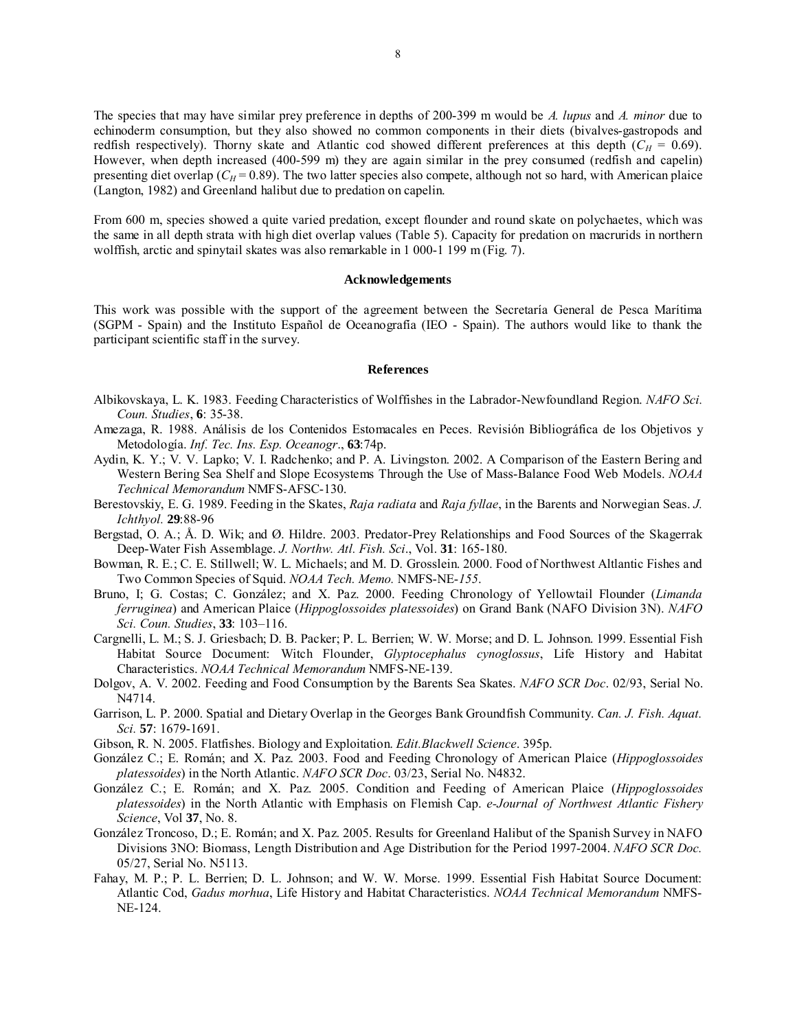The species that may have similar prey preference in depths of 200-399 m would be *A. lupus* and *A. minor* due to echinoderm consumption, but they also showed no common components in their diets (bivalves-gastropods and redfish respectively). Thorny skate and Atlantic cod showed different preferences at this depth  $(C_H = 0.69)$ . However, when depth increased (400-599 m) they are again similar in the prey consumed (redfish and capelin) presenting diet overlap ( $C_H$  = 0.89). The two latter species also compete, although not so hard, with American plaice (Langton, 1982) and Greenland halibut due to predation on capelin.

From 600 m, species showed a quite varied predation, except flounder and round skate on polychaetes, which was the same in all depth strata with high diet overlap values (Table 5). Capacity for predation on macrurids in northern wolffish, arctic and spinytail skates was also remarkable in 1 000-1 199 m (Fig. 7).

#### **Acknowledgements**

This work was possible with the support of the agreement between the Secretaría General de Pesca Marítima (SGPM - Spain) and the Instituto Español de Oceanografía (IEO - Spain). The authors would like to thank the participant scientific staff in the survey.

#### **References**

- Albikovskaya, L. K. 1983. Feeding Characteristics of Wolffishes in the Labrador-Newfoundland Region. *NAFO Sci. Coun. Studies*, **6**: 35-38.
- Amezaga, R. 1988. Análisis de los Contenidos Estomacales en Peces. Revisión Bibliográfica de los Objetivos y Metodología. *Inf. Tec. Ins. Esp. Oceanogr*., **63**:74p.
- Aydin, K. Y.; V. V. Lapko; V. I. Radchenko; and P. A. Livingston. 2002. A Comparison of the Eastern Bering and Western Bering Sea Shelf and Slope Ecosystems Through the Use of Mass-Balance Food Web Models. *NOAA Technical Memorandum* NMFS-AFSC-130.
- Berestovskiy, E. G. 1989. Feeding in the Skates, *Raja radiata* and *Raja fyllae*, in the Barents and Norwegian Seas. *J. Ichthyol.* **29**:88-96
- Bergstad, O. A.; Å. D. Wik; and Ø. Hildre. 2003. Predator-Prey Relationships and Food Sources of the Skagerrak Deep-Water Fish Assemblage. *J. Northw. Atl. Fish. Sci*., Vol. **31**: 165-180.
- Bowman, R. E.; C. E. Stillwell; W. L. Michaels; and M. D. Grosslein. 2000. Food of Northwest Altlantic Fishes and Two Common Species of Squid. *NOAA Tech. Memo.* NMFS-NE-*155*.
- Bruno, I; G. Costas; C. González; and X. Paz. 2000. Feeding Chronology of Yellowtail Flounder (*Limanda ferruginea*) and American Plaice (*Hippoglossoides platessoides*) on Grand Bank (NAFO Division 3N). *NAFO Sci. Coun. Studies*, **33**: 103–116.
- Cargnelli, L. M.; S. J. Griesbach; D. B. Packer; P. L. Berrien; W. W. Morse; and D. L. Johnson. 1999. Essential Fish Habitat Source Document: Witch Flounder, *Glyptocephalus cynoglossus*, Life History and Habitat Characteristics. *NOAA Technical Memorandum* NMFS-NE-139.
- Dolgov, A. V. 2002. Feeding and Food Consumption by the Barents Sea Skates. *NAFO SCR Doc*. 02/93, Serial No. N4714.
- Garrison, L. P. 2000. Spatial and Dietary Overlap in the Georges Bank Groundfish Community. *Can. J. Fish. Aquat. Sci.* **57**: 1679-1691.
- Gibson, R. N. 2005. Flatfishes. Biology and Exploitation. *Edit.Blackwell Science*. 395p.
- González C.; E. Román; and X. Paz. 2003. Food and Feeding Chronology of American Plaice (*Hippoglossoides platessoides*) in the North Atlantic. *NAFO SCR Doc*. 03/23, Serial No. N4832.
- González C.; E. Román; and X. Paz. 2005. Condition and Feeding of American Plaice (*Hippoglossoides platessoides*) in the North Atlantic with Emphasis on Flemish Cap. *e-Journal of Northwest Atlantic Fishery Science*, Vol **37**, No. 8.
- González Troncoso, D.; E. Román; and X. Paz. 2005. Results for Greenland Halibut of the Spanish Survey in NAFO Divisions 3NO: Biomass, Length Distribution and Age Distribution for the Period 1997-2004. *NAFO SCR Doc.* 05/27, Serial No. N5113.
- Fahay, M. P.; P. L. Berrien; D. L. Johnson; and W. W. Morse. 1999. Essential Fish Habitat Source Document: Atlantic Cod, *Gadus morhua*, Life History and Habitat Characteristics. *NOAA Technical Memorandum* NMFS-NE-124.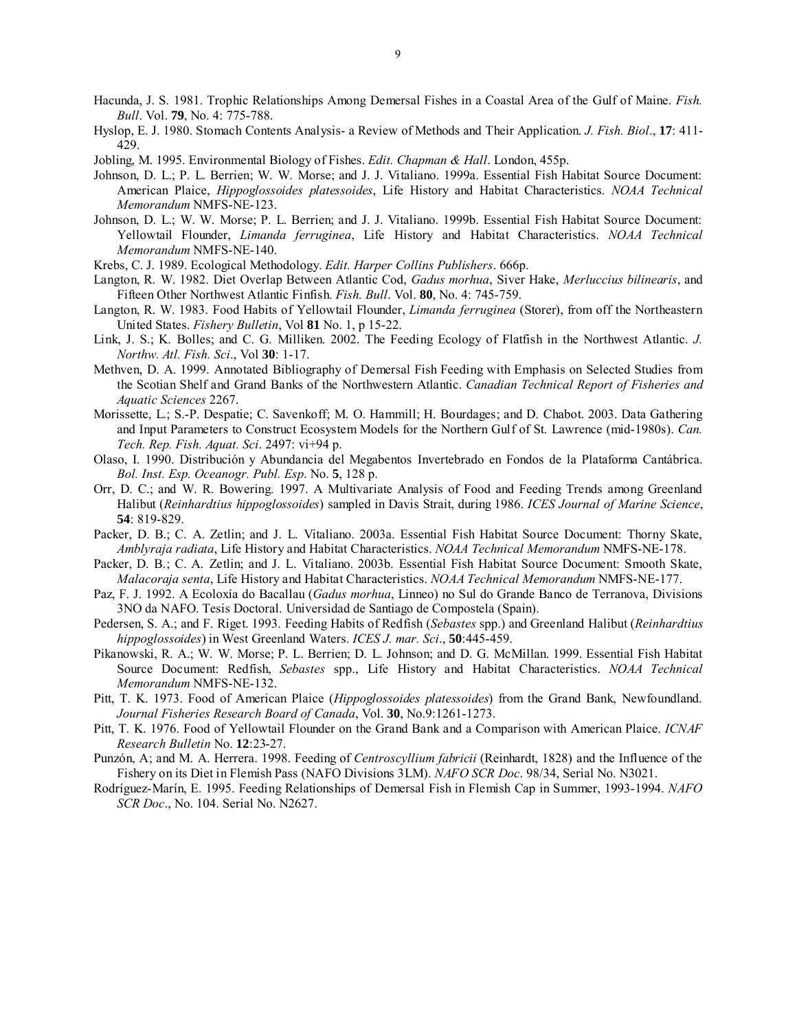- Hacunda, J. S. 1981. Trophic Relationships Among Demersal Fishes in a Coastal Area of the Gulf of Maine. *Fish. Bull*. Vol. **79**, No. 4: 775-788.
- Hyslop, E. J. 1980. Stomach Contents Analysis- a Review of Methods and Their Application. *J. Fish. Biol*., **17**: 411- 429.
- Jobling, M. 1995. Environmental Biology of Fishes. *Edit. Chapman & Hall*. London, 455p.
- Johnson, D. L.; P. L. Berrien; W. W. Morse; and J. J. Vitaliano. 1999a. Essential Fish Habitat Source Document: American Plaice, *Hippoglossoides platessoides*, Life History and Habitat Characteristics. *NOAA Technical Memorandum* NMFS-NE-123.
- Johnson, D. L.; W. W. Morse; P. L. Berrien; and J. J. Vitaliano. 1999b. Essential Fish Habitat Source Document: Yellowtail Flounder, *Limanda ferruginea*, Life History and Habitat Characteristics. *NOAA Technical Memorandum* NMFS-NE-140.
- Krebs, C. J. 1989. Ecological Methodology. *Edit. Harper Collins Publishers*. 666p.
- Langton, R. W. 1982. Diet Overlap Between Atlantic Cod, *Gadus morhua*, Siver Hake, *Merluccius bilinearis*, and Fifteen Other Northwest Atlantic Finfish. *Fish. Bull*. Vol. **80**, No. 4: 745-759.
- Langton, R. W. 1983. Food Habits of Yellowtail Flounder, *Limanda ferruginea* (Storer), from off the Northeastern United States. *Fishery Bulletin*, Vol **81** No. 1, p 15-22.
- Link, J. S.; K. Bolles; and C. G. Milliken. 2002. The Feeding Ecology of Flatfish in the Northwest Atlantic. *J. Northw. Atl. Fish. Sci*., Vol **30**: 1-17.
- Methven, D. A. 1999. Annotated Bibliography of Demersal Fish Feeding with Emphasis on Selected Studies from the Scotian Shelf and Grand Banks of the Northwestern Atlantic. *Canadian Technical Report of Fisheries and Aquatic Sciences* 2267.
- Morissette, L.; S.-P. Despatie; C. Savenkoff; M. O. Hammill; H. Bourdages; and D. Chabot. 2003. Data Gathering and Input Parameters to Construct Ecosystem Models for the Northern Gulf of St. Lawrence (mid-1980s). *Can. Tech. Rep. Fish. Aquat. Sci*. 2497: vi+94 p.
- Olaso, I. 1990. Distribución y Abundancia del Megabentos Invertebrado en Fondos de la Plataforma Cantábrica. *Bol. Inst. Esp. Oceanogr. Publ. Esp*. No. **5**, 128 p.
- Orr, D. C.; and W. R. Bowering. 1997. A Multivariate Analysis of Food and Feeding Trends among Greenland Halibut (*Reinhardtius hippoglossoides*) sampled in Davis Strait, during 1986. *ICES Journal of Marine Science*, **54**: 819-829.
- Packer, D. B.; C. A. Zetlin; and J. L. Vitaliano. 2003a. Essential Fish Habitat Source Document: Thorny Skate, *Amblyraja radiata*, Life History and Habitat Characteristics. *NOAA Technical Memorandum* NMFS-NE-178.
- Packer, D. B.; C. A. Zetlin; and J. L. Vitaliano. 2003b. Essential Fish Habitat Source Document: Smooth Skate, *Malacoraja senta*, Life History and Habitat Characteristics. *NOAA Technical Memorandum* NMFS-NE-177.
- Paz, F. J. 1992. A Ecoloxía do Bacallau (*Gadus morhua*, Linneo) no Sul do Grande Banco de Terranova, Divisions 3NO da NAFO. Tesis Doctoral. Universidad de Santiago de Compostela (Spain).
- Pedersen, S. A.; and F. Riget. 1993. Feeding Habits of Redfish (*Sebastes* spp.) and Greenland Halibut (*Reinhardtius hippoglossoides*) in West Greenland Waters. *ICES J. mar. Sci*., **50**:445-459.
- Pikanowski, R. A.; W. W. Morse; P. L. Berrien; D. L. Johnson; and D. G. McMillan. 1999. Essential Fish Habitat Source Document: Redfish, *Sebastes* spp., Life History and Habitat Characteristics. *NOAA Technical Memorandum* NMFS-NE-132.
- Pitt, T. K. 1973. Food of American Plaice (*Hippoglossoides platessoides*) from the Grand Bank, Newfoundland. *Journal Fisheries Research Board of Canada*, Vol. **30**, No.9:1261-1273.
- Pitt, T. K. 1976. Food of Yellowtail Flounder on the Grand Bank and a Comparison with American Plaice. *ICNAF Research Bulletin* No. **12**:23-27.
- Punzón, A; and M. A. Herrera. 1998. Feeding of *Centroscyllium fabricii* (Reinhardt, 1828) and the Influence of the Fishery on its Diet in Flemish Pass (NAFO Divisions 3LM). *NAFO SCR Doc*. 98/34, Serial No. N3021.
- Rodríguez-Marín, E. 1995. Feeding Relationships of Demersal Fish in Flemish Cap in Summer, 1993-1994. *NAFO SCR Doc*., No. 104. Serial No. N2627.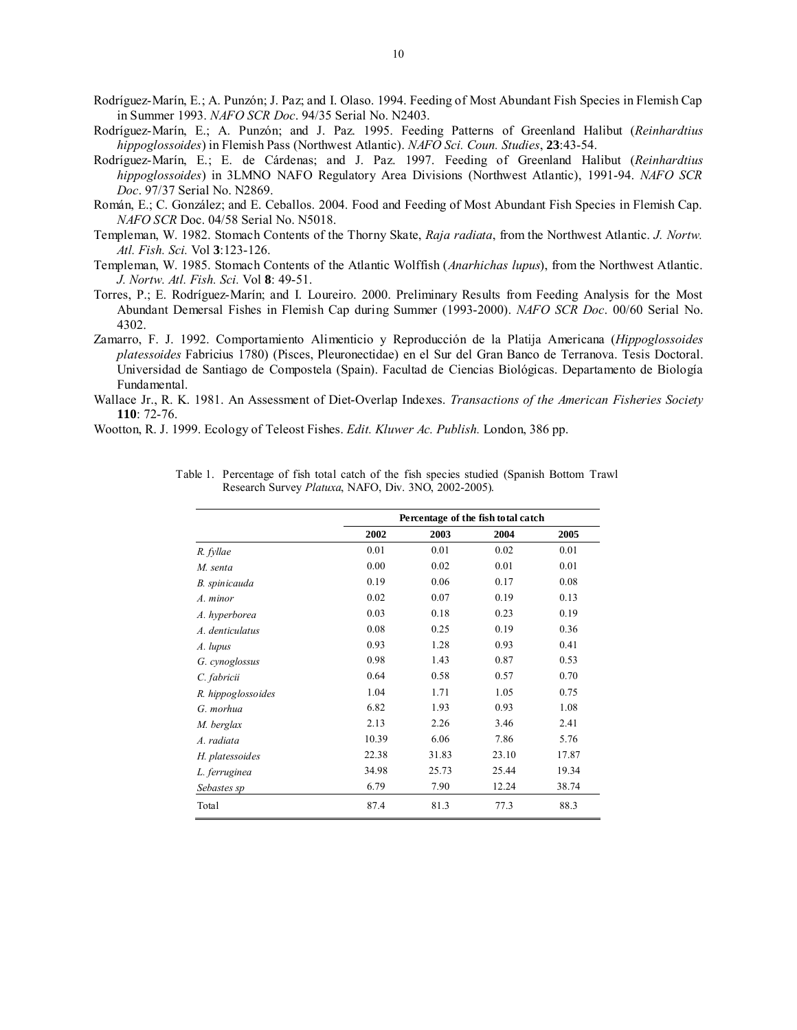- Rodríguez-Marín, E.; A. Punzón; J. Paz; and I. Olaso. 1994. Feeding of Most Abundant Fish Species in Flemish Cap in Summer 1993. *NAFO SCR Doc*. 94/35 Serial No. N2403.
- Rodríguez-Marín, E.; A. Punzón; and J. Paz. 1995. Feeding Patterns of Greenland Halibut (*Reinhardtius hippoglossoides*) in Flemish Pass (Northwest Atlantic). *NAFO Sci. Coun. Studies*, **23**:43-54.
- Rodríguez-Marín, E.; E. de Cárdenas; and J. Paz. 1997. Feeding of Greenland Halibut (*Reinhardtius hippoglossoides*) in 3LMNO NAFO Regulatory Area Divisions (Northwest Atlantic), 1991-94. *NAFO SCR Doc*. 97/37 Serial No. N2869.
- Román, E.; C. González; and E. Ceballos. 2004. Food and Feeding of Most Abundant Fish Species in Flemish Cap. *NAFO SCR* Doc. 04/58 Serial No. N5018.
- Templeman, W. 1982. Stomach Contents of the Thorny Skate, *Raja radiata*, from the Northwest Atlantic. *J. Nortw. Atl. Fish. Sci.* Vol **3**:123-126.
- Templeman, W. 1985. Stomach Contents of the Atlantic Wolffish (*Anarhichas lupus*), from the Northwest Atlantic. *J. Nortw. Atl. Fish. Sci.* Vol **8**: 49-51.
- Torres, P.; E. Rodríguez-Marín; and I. Loureiro. 2000. Preliminary Results from Feeding Analysis for the Most Abundant Demersal Fishes in Flemish Cap during Summer (1993-2000). *NAFO SCR Doc*. 00/60 Serial No. 4302.
- Zamarro, F. J. 1992. Comportamiento Alimenticio y Reproducción de la Platija Americana (*Hippoglossoides platessoides* Fabricius 1780) (Pisces, Pleuronectidae) en el Sur del Gran Banco de Terranova. Tesis Doctoral. Universidad de Santiago de Compostela (Spain). Facultad de Ciencias Biológicas. Departamento de Biología Fundamental.
- Wallace Jr., R. K. 1981. An Assessment of Diet-Overlap Indexes. *Transactions of the American Fisheries Society* **110**: 72-76.

|                    |       |       | Percentage of the fish total catch |       |
|--------------------|-------|-------|------------------------------------|-------|
|                    | 2002  | 2003  | 2004                               | 2005  |
| R. fyllae          | 0.01  | 0.01  | 0.02                               | 0.01  |
| M. senta           | 0.00  | 0.02  | 0.01                               | 0.01  |
| B. spinicauda      | 0.19  | 0.06  | 0.17                               | 0.08  |
| A. minor           | 0.02  | 0.07  | 0.19                               | 0.13  |
| A. hyperborea      | 0.03  | 0.18  | 0.23                               | 0.19  |
| A. denticulatus    | 0.08  | 0.25  | 0.19                               | 0.36  |
| A. lupus           | 0.93  | 1.28  | 0.93                               | 0.41  |
| G. cynoglossus     | 0.98  | 1.43  | 0.87                               | 0.53  |
| C. fabricii        | 0.64  | 0.58  | 0.57                               | 0.70  |
| R. hippoglossoides | 1.04  | 1.71  | 1.05                               | 0.75  |
| G. morhua          | 6.82  | 1.93  | 0.93                               | 1.08  |
| M. berglax         | 2.13  | 2.26  | 3.46                               | 2.41  |
| A. radiata         | 10.39 | 6.06  | 7.86                               | 5.76  |
| H. platessoides    | 22.38 | 31.83 | 23.10                              | 17.87 |
| L. ferruginea      | 34.98 | 25.73 | 25.44                              | 19.34 |
| Sebastes sp        | 6.79  | 7.90  | 12.24                              | 38.74 |
| Total              | 87.4  | 81.3  | 77.3                               | 88.3  |

Table 1. Percentage of fish total catch of the fish species studied (Spanish Bottom Trawl Research Survey *Platuxa*, NAFO, Div. 3NO, 2002-2005).

Wootton, R. J. 1999. Ecology of Teleost Fishes. *Edit. Kluwer Ac. Publish.* London, 386 pp.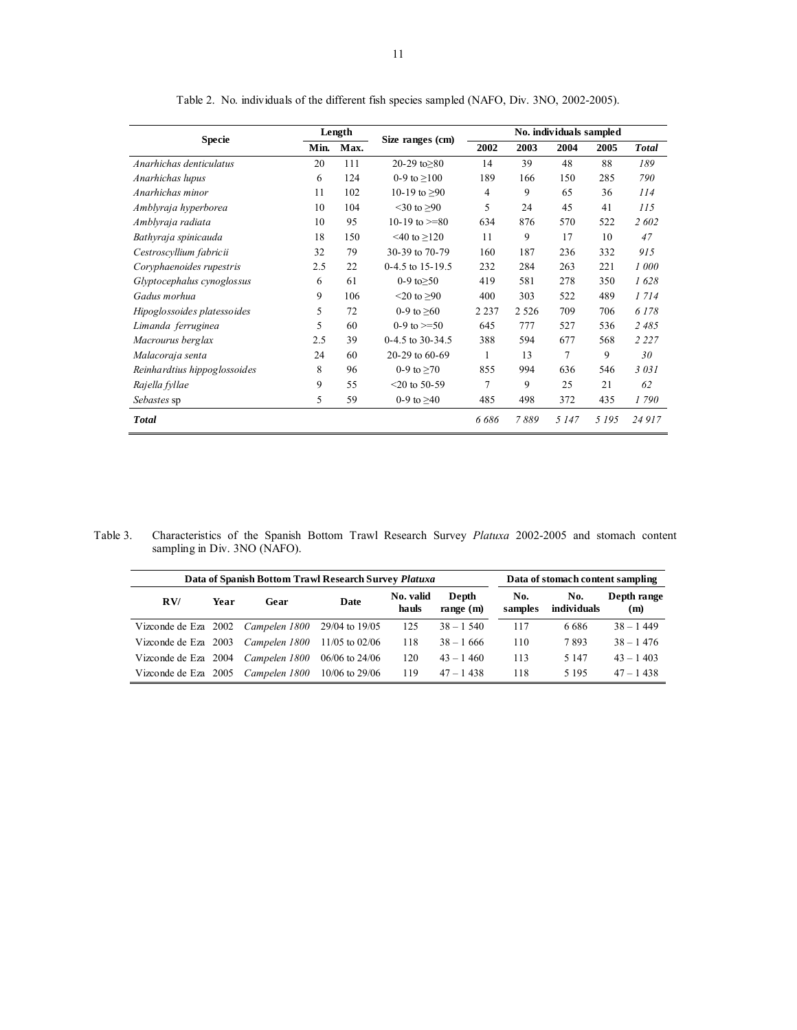| <b>Specie</b>                |      | Length | Size ranges (cm)        | No. individuals sampled |         |         |         |              |  |  |  |  |  |
|------------------------------|------|--------|-------------------------|-------------------------|---------|---------|---------|--------------|--|--|--|--|--|
|                              | Min. | Max.   |                         | 2002                    | 2003    | 2004    | 2005    | <b>Total</b> |  |  |  |  |  |
| Anarhichas denticulatus      | 20   | 111    | 20-29 to $>80$          | 14                      | 39      | 48      | 88      | 189          |  |  |  |  |  |
| Anarhichas lupus             | 6    | 124    | 0-9 to $\geq 100$       | 189                     | 166     | 150     | 285     | 790          |  |  |  |  |  |
| Anarhichas minor             | 11   | 102    | 10-19 to $\geq 90$      | $\overline{4}$          | 9       | 65      | 36      | 114          |  |  |  |  |  |
| Amblyraja hyperborea         | 10   | 104    | $<$ 30 to $>$ 90        | 5                       | 24      | 45      | 41      | 115          |  |  |  |  |  |
| Amblyraja radiata            | 10   | 95     | 10-19 to $>=80$         | 634                     | 876     | 570     | 522     | 2 602        |  |  |  |  |  |
| Bathyraja spinicauda         | 18   | 150    | $\leq 40$ to $\geq 120$ | 11                      | 9       | 17      | 10      | 47           |  |  |  |  |  |
| Cestroscyllium fabricii      | 32   | 79     | 30-39 to 70-79          | 160                     | 187     | 236     | 332     | 915          |  |  |  |  |  |
| Coryphaenoides rupestris     | 2.5  | 22     | $0-4.5$ to 15-19.5      | 232                     | 284     | 263     | 221     | 1000         |  |  |  |  |  |
| Glyptocephalus cynoglossus   | 6    | 61     | 0-9 to $\geq 50$        | 419                     | 581     | 278     | 350     | 1628         |  |  |  |  |  |
| Gadus morhua                 | 9    | 106    | $\leq$ 20 to $\geq$ 90  | 400                     | 303     | 522     | 489     | 1 7 1 4      |  |  |  |  |  |
| Hipoglossoides platessoides  | 5    | 72     | 0-9 to $\geq 60$        | 2 2 3 7                 | 2 5 2 6 | 709     | 706     | 6 1 7 8      |  |  |  |  |  |
| Limanda ferruginea           | 5    | 60     | 0-9 to $>=$ 50          | 645                     | 777     | 527     | 536     | 2485         |  |  |  |  |  |
| Macrourus berglax            | 2.5  | 39     | $0-4.5$ to 30-34.5      | 388                     | 594     | 677     | 568     | 2 2 2 7      |  |  |  |  |  |
| Malacoraja senta             | 24   | 60     | 20-29 to 60-69          | 1                       | 13      | 7       | 9       | 30           |  |  |  |  |  |
| Reinhardtius hippoglossoides | 8    | 96     | 0-9 to $\geq 70$        | 855                     | 994     | 636     | 546     | 3031         |  |  |  |  |  |
| Rajella fyllae               | 9    | 55     | $<$ 20 to 50-59         | 7                       | 9       | 25      | 21      | 62           |  |  |  |  |  |
| Sebastes sp                  | 5    | 59     | 0-9 to $\geq 40$        | 485                     | 498     | 372     | 435     | 1790         |  |  |  |  |  |
| <b>Total</b>                 |      |        |                         | 6686                    | 7889    | 5 1 4 7 | 5 1 9 5 | 24 917       |  |  |  |  |  |

Table 2. No. individuals of the different fish species sampled (NAFO, Div. 3NO, 2002-2005).

Table 3. Characteristics of the Spanish Bottom Trawl Research Survey *Platuxa* 2002-2005 and stomach content sampling in Div. 3NO (NAFO).

|                      |      | Data of Spanish Bottom Trawl Research Survey Platuxa     |                  |                    |                      |                | Data of stomach content sampling |                    |
|----------------------|------|----------------------------------------------------------|------------------|--------------------|----------------------|----------------|----------------------------------|--------------------|
| RV/                  | Year | Gear                                                     | <b>Date</b>      | No. valid<br>hauls | Depth<br>range $(m)$ | No.<br>samples | No.<br>individuals               | Depth range<br>(m) |
|                      |      | Vizconde de Eza 2002 <i>Campelen 1800</i> 29/04 to 19/05 |                  | 125                | $38 - 1,540$         | 117            | 6 6 8 6                          | $38 - 1449$        |
| Vizconde de Eza 2003 |      | Campelen 1800                                            | $11/05$ to 02/06 | 118                | $38 - 1666$          | 110            | 7893                             | $38 - 1476$        |
| Vizconde de Eza 2004 |      | Campelen 1800                                            | $06/06$ to 24/06 | 120                | $43 - 1460$          | 113            | 5 1 4 7                          | $43 - 1403$        |
| Vizconde de Eza 2005 |      | Campelen 1800                                            | $10/06$ to 29/06 | 119                | $47 - 1438$          | 118            | 5 1 9 5                          | $47 - 1438$        |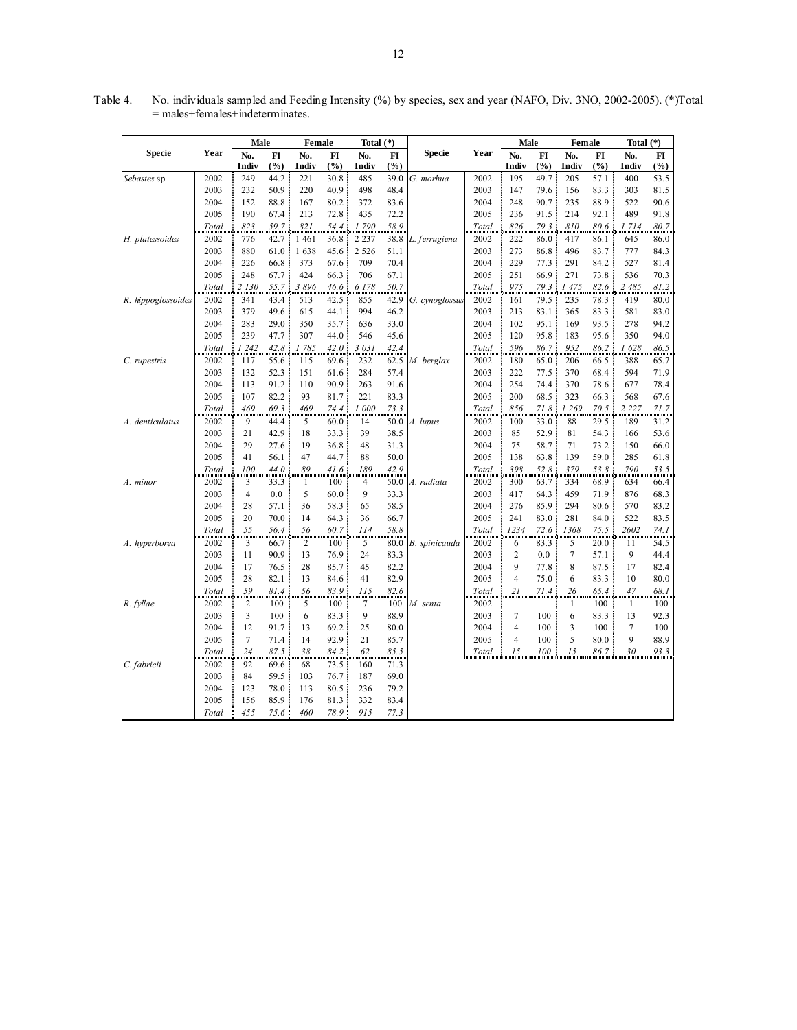|                    |       | Male   |      | Female  |      | Total $(*)$ |       |                |       | Male           |       | Female       |      | Total $(*)$    |       |
|--------------------|-------|--------|------|---------|------|-------------|-------|----------------|-------|----------------|-------|--------------|------|----------------|-------|
| Specie             | Year  | No.    | FI   | No.     | FI   | No.         | FI    | <b>Specie</b>  | Year  | No.            | FI    | No.          | FI   | No.            | FI    |
|                    |       | Indiv  | (%)  | Indiv   | (%)  | Indiv       | (9/0) |                |       | Indiv          | (9/0) | Indiv        | (%)  | Indiv          | (%)   |
| Sebastes sp        | 2002  | 249    | 44.2 | 221     | 30.8 | 485         | 39.0  | G. morhua      | 2002  | 195            | 49.7  | 205          | 57.1 | 400            | 53.5  |
|                    | 2003  | 232    | 50.9 | 220     | 40.9 | 498         | 48.4  |                | 2003  | 147            | 79.6  | 156          | 83.3 | 303            | 81.5  |
|                    | 2004  | 152    | 88.8 | 167     | 80.2 | 372         | 83.6  |                | 2004  | 248            | 90.7  | 235          | 88.9 | 522            | 90.6  |
|                    | 2005  | 190    | 67.4 | 213     | 72.8 | 435         | 72.2  |                | 2005  | 236            | 91.5  | 214          | 92.1 | 489            | 91.8  |
|                    | Total | 823    | 59.7 | 821     | 54.4 | 1 790       | 58.9  |                | Total | 826            | 79.3  | 810          | 80.6 | 1 7 1 4        | 80.7  |
| H. platessoides    | 2002  | 776    | 42.7 | 1 4 6 1 | 36.8 | 2 2 3 7     | 38.8  | L. ferrugiena  | 2002  | 222            | 86.0  | 417          | 86.1 | 645            | 86.0  |
|                    | 2003  | 880    | 61.0 | 1638    | 45.6 | 2 5 2 6     | 51.1  |                | 2003  | 273            | 86.8  | 496          | 83.7 | 777            | 84.3  |
|                    | 2004  | 226    | 66.8 | 373     | 67.6 | 709         | 70.4  |                | 2004  | 229            | 77.3  | 291          | 84.2 | 527            | 81.4  |
|                    | 2005  | 248    | 67.7 | 424     | 66.3 | 706         | 67.1  |                | 2005  | 251            | 66.9  | 271          | 73.8 | 536            | 70.3  |
|                    | Total | 2 130  | 55.7 | 3896    | 46.6 | 6 1 7 8     | 50.7  |                | Total | 975            | 79.3  | 1475         | 82.6 | 2 485          | 81.2  |
| R. hippoglossoides | 2002  | 341    | 43.4 | 513     | 42.5 | 855         | 42.9  | G. cynoglossus | 2002  | 161            | 79.5  | 235          | 78.3 | 419            | 80.0  |
|                    | 2003  | 379    | 49.6 | 615     | 44.1 | 994         | 46.2  |                | 2003  | 213            | 83.1  | 365          | 83.3 | 581            | 83.0  |
|                    | 2004  | 283    | 29.0 | 350     | 35.7 | 636         | 33.0  |                | 2004  | 102            | 95.1  | 169          | 93.5 | 278            | 94.2  |
|                    | 2005  | 239    | 47.7 | 307     | 44.0 | 546         | 45.6  |                | 2005  | 120            | 95.8  | 183          | 95.6 | 350            | 94.0  |
|                    | Total | 1 242  | 42.8 | 1 785   | 42.0 | 3 0 3 1     | 42.4  |                | Total | 596            | 86.7  | 952          | 86.2 | 1 628          | 86.5  |
| C. rupestris       | 2002  | 117    | 55.6 | 115     | 69.6 | 232         | 62.5  | M. berglax     | 2002  | 180            | 65.0  | 206          | 66.5 | 388            | 65.7  |
|                    | 2003  | 132    | 52.3 | 151     | 61.6 | 284         | 57.4  |                | 2003  | 222            | 77.5  | 370          | 68.4 | 594            | 71.9  |
|                    | 2004  | 113    | 91.2 | 110     | 90.9 | 263         | 91.6  |                | 2004  | 254            | 74.4  | 370          | 78.6 | 677            | 78.4  |
|                    | 2005  | 107    | 82.2 | 93      | 81.7 | 221         | 83.3  |                | 2005  | 200            | 68.5  | 323          | 66.3 | 568            | 67.6  |
|                    | Total | 469    | 69.3 | 469     | 74.4 | 1 000       | 73.3  |                | Total | 856            | 71.8  | 1 269        | 70.5 | 2 2 2 7        | 71.7  |
| A. denticulatus    | 2002  | 9      | 44.4 | 5       | 60.0 | 14          | 50.0  | A. lupus       | 2002  | 100            | 33.0  | 88           | 29.5 | 189            | 31.2  |
|                    | 2003  | 21     | 42.9 | 18      | 33.3 | 39          | 38.5  |                | 2003  | 85             | 52.9  | 81           | 54.3 | 166            | 53.6  |
|                    | 2004  | 29     | 27.6 | 19      | 36.8 | 48          | 31.3  |                | 2004  | 75             | 58.7  | 71           | 73.2 | 150            | 66.0  |
|                    | 2005  | 41     | 56.1 | 47      | 44.7 | 88          | 50.0  |                | 2005  | 138            | 63.8  | 139          | 59.0 | 285            | 61.8  |
|                    | Total | 100    | 44.0 | 89      | 41.6 | 189         | 42.9  |                | Total | 398            | 52.8  | 379          | 53.8 | 790            | 53.5  |
| A. minor           | 2002  | 3      | 33.3 | 1       | 100  | 4           | 50.0  | A. radiata     | 2002  | 300            | 63.7  | 334          | 68.9 | 634            | 66.4  |
|                    | 2003  | 4      | 0.0  | 5       | 60.0 | 9           | 33.3  |                | 2003  | 417            | 64.3  | 459          | 71.9 | 876            | 68.3  |
|                    | 2004  | 28     | 57.1 | 36      | 58.3 | 65          | 58.5  |                | 2004  | 276            | 85.9  | 294          | 80.6 | 570            | 83.2  |
|                    | 2005  | 20     | 70.0 | 14      | 64.3 | 36          | 66.7  |                | 2005  | 241            | 83.0  | 281          | 84.0 | 522            | 83.5  |
|                    | Total | 55     | 56.4 | 56      | 60.7 | 114         | 58.8  |                | Total | 1234           | 72.6  | 1368         | 75.5 | 2602           | 74. I |
| A. hyperborea      | 2002  | 3      | 66.7 | 2       | 100  | 5           | 80.0  | B. spinicauda  | 2002  | 6              | 83.3  | 5            | 20.0 | 11             | 54.5  |
|                    | 2003  | 11     | 90.9 | 13      | 76.9 | 24          | 83.3  |                | 2003  | $\overline{2}$ | 0.0   | $\tau$       | 57.1 | 9              | 44.4  |
|                    | 2004  | 17     | 76.5 | 28      | 85.7 | 45          | 82.2  |                | 2004  | 9              | 77.8  | 8            | 87.5 | 17             | 82.4  |
|                    | 2005  | 28     | 82.1 | 13      | 84.6 | 41          | 82.9  |                | 2005  | $\overline{4}$ | 75.0  | 6            | 83.3 | 10             | 80.0  |
|                    | Total | 59     | 81.4 | 56      | 83.9 | 115         | 82.6  |                | Total | 21             | 71.4  | 26           | 65.4 | 47             | 68. I |
| R. fyllae          | 2002  | 2      | 100  | 5       | 100  | 7           | 100   | M. senta       | 2002  |                |       | $\mathbf{1}$ | 100  | $\mathbf{1}$   | 100   |
|                    | 2003  | 3      | 100  | 6       | 83.3 | 9           | 88.9  |                | 2003  | $\overline{7}$ | 100   | 6            | 83.3 | 13             | 92.3  |
|                    | 2004  | 12     | 91.7 | 13      | 69.2 | 25          | 80.0  |                | 2004  | $\overline{4}$ | 100   | 3            | 100  | $\overline{7}$ | 100   |
|                    | 2005  | $\tau$ | 71.4 | 14      | 92.9 | 21          | 85.7  |                | 2005  | 4              | 100   | 5            | 80.0 | 9              | 88.9  |
|                    | Total | 24     | 87.5 | 38      | 84.2 | 62          | 85.5  |                | Total | 15             | 100   | 15           | 86.7 | 30             | 93.3  |
| C. fabricii        | 2002  | 92     | 69.6 | 68      | 73.5 | 160         | 71.3  |                |       |                |       |              |      |                |       |
|                    | 2003  | 84     | 59.5 | 103     | 76.7 | 187         | 69.0  |                |       |                |       |              |      |                |       |
|                    | 2004  | 123    | 78.0 | 113     | 80.5 | 236         | 79.2  |                |       |                |       |              |      |                |       |
|                    | 2005  | 156    | 85.9 | 176     | 81.3 | 332         | 83.4  |                |       |                |       |              |      |                |       |
|                    | Total | 455    | 75.6 | 460     | 78.9 | 915         | 77.3  |                |       |                |       |              |      |                |       |

Table 4. No. individuals sampled and Feeding Intensity (%) by species, sex and year (NAFO, Div. 3NO, 2002-2005). (\*)Total = males+females+indeterminates.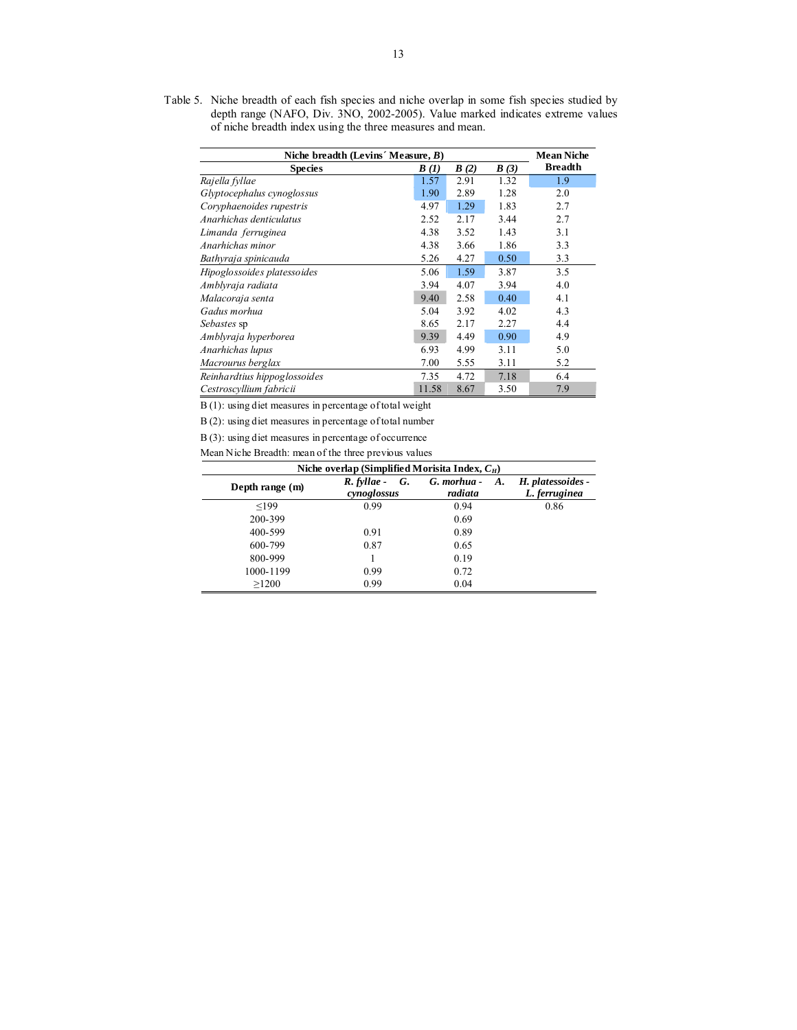Table 5. Niche breadth of each fish species and niche overlap in some fish species studied by depth range (NAFO, Div. 3NO, 2002-2005). Value marked indicates extreme values of niche breadth index using the three measures and mean.

| Niche breadth (Levins' Measure, $B$ ) |       |      |      | <b>Mean Niche</b> |
|---------------------------------------|-------|------|------|-------------------|
| <b>Species</b>                        | B(I)  | B(2) | B(3) | <b>Breadth</b>    |
| Rajella fyllae                        | 1.57  | 2.91 | 1.32 | 1.9               |
| Glyptocephalus cynoglossus            | 1.90  | 2.89 | 1.28 | 2.0               |
| Coryphaenoides rupestris              | 4.97  | 1.29 | 1.83 | 2.7               |
| Anarhichas denticulatus               | 2.52  | 2.17 | 3.44 | 2.7               |
| Limanda ferruginea                    | 4.38  | 3.52 | 1.43 | 3.1               |
| Anarhichas minor                      | 4.38  | 3.66 | 1.86 | 3.3               |
| Bathyraja spinicauda                  | 5.26  | 4.27 | 0.50 | 3.3               |
| Hipoglossoides platessoides           | 5.06  | 1.59 | 3.87 | 3.5               |
| Amblyraja radiata                     | 3.94  | 4.07 | 3.94 | 4.0               |
| Malacoraja senta                      | 9.40  | 2.58 | 0.40 | 4.1               |
| Gadus morhua                          | 5.04  | 3.92 | 4.02 | 4.3               |
| Sebastes sp                           | 8.65  | 2.17 | 2.27 | 4.4               |
| Amblyraja hyperborea                  | 9.39  | 4.49 | 0.90 | 4.9               |
| Anarhichas lupus                      | 6.93  | 4.99 | 3.11 | 5.0               |
| Macrourus berglax                     | 7.00  | 5.55 | 3.11 | 5.2               |
| Reinhardtius hippoglossoides          | 7.35  | 4.72 | 7.18 | 6.4               |
| Cestroscyllium fabricii               | 11.58 | 8.67 | 3.50 | 7.9               |

B (1): using diet measures in percentage of total weight

B (2): using diet measures in percentage of total number

B (3): using diet measures in percentage of occurrence

Mean Niche Breadth: mean of the three previous values

|                 | Niche overlap (Simplified Morisita Index, $C_H$ ) |                              |                                    |
|-----------------|---------------------------------------------------|------------------------------|------------------------------------|
| Depth range (m) | $R.$ fyllae -<br>G.<br>cynoglossus                | G. morhua -<br>A.<br>radiata | H. platessoides -<br>L. ferruginea |
| < 199           | 0.99                                              | 0.94                         | 0.86                               |
| 200-399         |                                                   | 0.69                         |                                    |
| 400-599         | 0.91                                              | 0.89                         |                                    |
| 600-799         | 0.87                                              | 0.65                         |                                    |
| 800-999         |                                                   | 0.19                         |                                    |
| 1000-1199       | 0.99                                              | 0.72                         |                                    |
| >1200           | 0.99                                              | 0.04                         |                                    |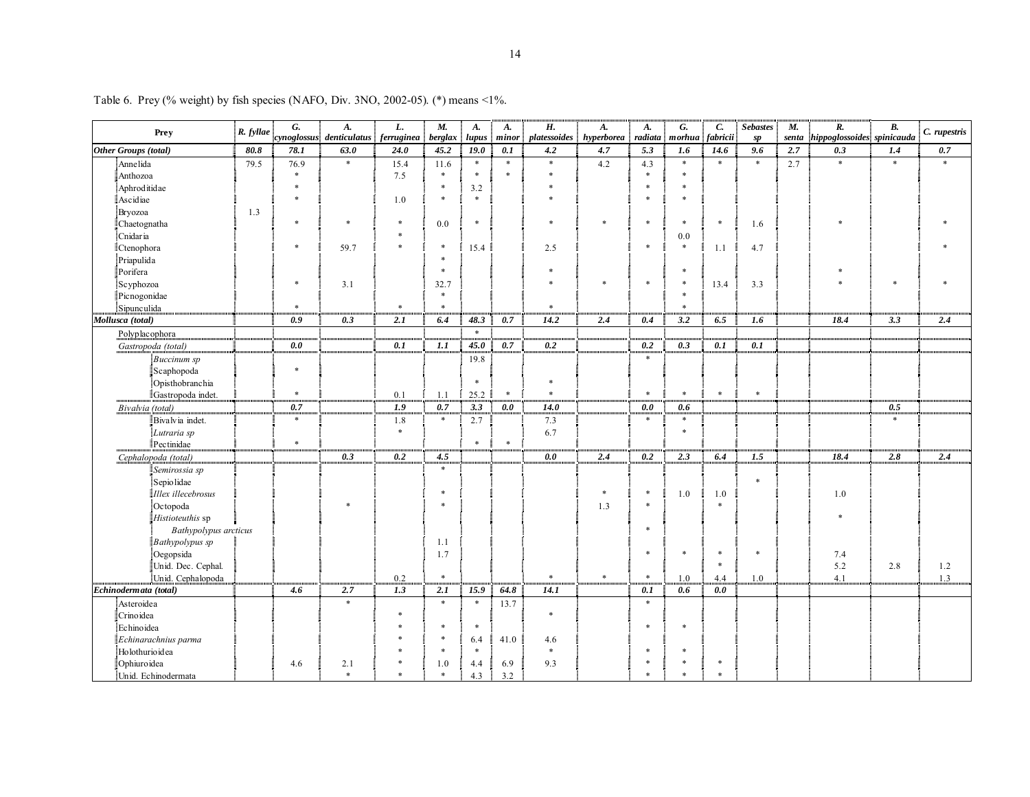|                             |           | G.     | A.                       | L.               | $M_{\cdot}$ | A.               | <b>A.</b> | Н.               | A.         | A.      | G.        | С.       | <b>Sebastes</b>  | $M_{\cdot}$ | $\overline{R}$ .           | B.     |              |
|-----------------------------|-----------|--------|--------------------------|------------------|-------------|------------------|-----------|------------------|------------|---------|-----------|----------|------------------|-------------|----------------------------|--------|--------------|
| Prey                        | R. fyllae |        | cynoglossus denticulatus | ferruginea       | berglax     | lupus            | minor     | platessoides     | hyperborea | radiata | $m$ orhua | fabricii | sp               | senta       | hippoglossoides spinicauda |        | C. rupestris |
| <b>Other Groups (total)</b> | 80.8      | 78.1   | 63.0                     | 24.0             | 45.2        | 19.0             | 0.1       | 4.2              | 4.7        | 5.3     | 1.6       | 14.6     | 9.6              | 2.7         | 0.3                        | 1.4    | $0.7\,$      |
| Annelida                    | 79.5      | 76.9   | $\ast$                   | 15.4             | 11.6        | $\ast$           | $\ast$    | $\ast$           | 4.2        | 4.3     | $\ast$    | $\ast$   | $\ast$           | 2.7         | $\ast$                     | $\ast$ | $\ast$       |
| Anthozoa                    |           | $\ast$ |                          | 7.5              | $\ast$      | $\ast$           | $\ast$    | $\ast$           |            | $\ast$  | $\ast$    |          |                  |             |                            |        |              |
| Aphroditidae                |           | $\ast$ |                          |                  | $\ast$      | 3.2              |           | *                |            | $\ast$  | $\ast$    |          |                  |             |                            |        |              |
| Ascidiae                    |           | $\ast$ |                          | 1.0              | $\ast$      | $\ast$           |           | $\ast$           |            |         | $\ast$    |          |                  |             |                            |        |              |
| Bryozoa                     | 1.3       |        |                          |                  |             |                  |           |                  |            |         |           |          |                  |             |                            |        |              |
| Chaetognatha                |           | $\ast$ | $\ast$                   | $\ast$           | 0.0         | $\ast$           |           | $\ast$           | $\ast$     | $\ast$  | $\ast$    | $\ast$   | 1.6              |             |                            |        |              |
| Cnidaria                    |           |        |                          | $\ast$           |             |                  |           |                  |            |         | 0.0       |          |                  |             |                            |        |              |
| Ctenophora                  |           | $\ast$ | 59.7                     | $\ast$           | $\ast$      | 15.4             |           | 2.5              |            | $\ast$  | $\ast$    | 1.1      | 4.7              |             |                            |        |              |
| Priapulida                  |           |        |                          |                  |             |                  |           |                  |            |         |           |          |                  |             |                            |        |              |
| Porifera                    |           |        |                          |                  | $\ast$      |                  |           | $\ast$           |            |         | $\ast$    |          |                  |             | $\ast$                     |        |              |
| Scyphozoa                   |           | $\ast$ | 3.1                      |                  | 32.7        |                  |           |                  | $\ast$     | $\ast$  | $\ast$    | 13.4     | 3.3              |             | $\ast$                     | $\ast$ |              |
| Picnogonidae                |           |        |                          |                  | $\ast$      |                  |           |                  |            |         | $\ast$    |          |                  |             |                            |        |              |
| Sipunculida                 |           | $\ast$ |                          | $\ast$           | $\ast$      |                  |           | $\ast$           |            |         | $\ast$    |          |                  |             |                            |        |              |
| Mollusca (total)            |           | 0.9    | 0.3                      | 2.1              | 6.4         | 48.3             | 0.7       | 14.2             | 2,4        | 0.4     | 3.2       | 6.5      | 1.6              |             | 18.4                       | 3.3    | 2.4          |
| Polyplacophora              |           |        |                          |                  |             | $\ast$           |           |                  |            |         |           |          |                  |             |                            |        |              |
| Gastropoda (total)          |           | 0.0    |                          | 0.1              | 1.1         | 45.0             | 0.7       | $\overline{0.2}$ |            | 0.2     | 0.3       | 0.1      | 0.1              |             |                            |        |              |
| Buccinum sp                 |           |        |                          |                  |             | 19.8             |           |                  |            | $\ast$  |           |          |                  |             |                            |        |              |
| Scaphopoda                  |           | $\ast$ |                          |                  |             |                  |           |                  |            |         |           |          |                  |             |                            |        |              |
| Opisthobranchia             |           |        |                          |                  |             | $\ast$           |           | $\ast$           |            |         |           |          |                  |             |                            |        |              |
| Gastropoda indet.           |           | $\ast$ |                          | 0.1              | 1.1         | 25.2             | $\ast$    | $\ast$           |            | $\ast$  | $\ast$    | $\ast$   | $\ast$           |             |                            |        |              |
| Bivalvia (total)            |           | 0.7    |                          | $\overline{1.9}$ | 0.7         | $\overline{3.3}$ | 0.0       | <b>14.0</b>      |            | 0.0     | 0.6       |          |                  |             |                            | 0.5    |              |
| Bivalvia indet.             |           | $\ast$ |                          | 1.8              | $\ast$      | 2.7              |           | 7.3              |            | $\ast$  | $\ast$    |          |                  |             |                            | *      |              |
| Lutraria sp                 |           |        |                          | $\ast$           |             |                  |           | 6.7              |            |         | $\ast$    |          |                  |             |                            |        |              |
| Pectinidae                  |           | $\ast$ |                          |                  |             | $\ast$           | $\ast$    |                  |            |         |           |          |                  |             |                            |        |              |
| Cephalopoda (total)         |           |        | 0.3                      | 0.2              | 4.5         |                  |           | 0.0              | 2.4        | 0.2     | 2.3       | 6.4      | $\overline{1.5}$ |             | 18.4                       | 2.8    | 2.4          |
| Semirossia sp               |           |        |                          |                  | $\ast$      |                  |           |                  |            |         |           |          |                  |             |                            |        |              |
| Sepiolidae                  |           |        |                          |                  |             |                  |           |                  |            |         |           |          | $\ast$           |             |                            |        |              |
| Illex illecebrosus          |           |        |                          |                  | $\ast$      |                  |           |                  | $\ast$     | $\ast$  | 1.0       | 1.0      |                  |             | 1.0                        |        |              |
| Octopoda                    |           |        | $\ast$                   |                  | $\ast$      |                  |           |                  | 1.3        | $\ast$  |           | $\ast$   |                  |             |                            |        |              |
| Histioteuthis sp            |           |        |                          |                  |             |                  |           |                  |            |         |           |          |                  |             | $\ast$                     |        |              |
| Bathypolypus arcticus       |           |        |                          |                  |             |                  |           |                  |            | $\ast$  |           |          |                  |             |                            |        |              |
| Bathypolypus sp             |           |        |                          |                  | 1.1         |                  |           |                  |            |         |           |          |                  |             |                            |        |              |
| Oegopsida                   |           |        |                          |                  | 1.7         |                  |           |                  |            | $\ast$  | $\ast$    | $\ast$   | $\ast$           |             | 7.4                        |        |              |
| Unid. Dec. Cephal.          |           |        |                          |                  |             |                  |           |                  |            |         |           | $\ast$   |                  |             | 5.2                        | 2.8    | 1.2          |
| Unid. Cephalopoda           |           |        |                          | 0.2              | $\ast$      |                  |           | $\ast$           | $\ast$     | $\ast$  | 1.0       | 4.4      | 1.0              |             | 4.1                        |        | 1.3          |
| Echinodermata (total)       |           | 4.6    | 2.7                      | 1.3              | 2.1         | 15.9             | 64.8      | 14.1             |            | 0.1     | 0.6       | 0.0      |                  |             |                            |        |              |
| Asteroidea                  |           |        | $\ast$                   |                  | $\ast$      | $\ast$           | 13.7      |                  |            | $\ast$  |           |          |                  |             |                            |        |              |
| Crinoidea                   |           |        |                          | $\ast$           |             |                  |           | $\ast$           |            |         |           |          |                  |             |                            |        |              |
| Echinoidea                  |           |        |                          | $\ast$           | $\ast$      | $\ast$           |           |                  |            | $\ast$  | $\ast$    |          |                  |             |                            |        |              |
| Echinarachnius parma        |           |        |                          |                  |             | 6.4              | 41.0      | 4.6              |            |         |           |          |                  |             |                            |        |              |
| Holothurioidea              |           |        |                          |                  | $\ast$      | $\ast$           |           | $\ast$           |            | $\ast$  | *         |          |                  |             |                            |        |              |
| Ophiuroidea                 |           | 4.6    | 2.1                      | *                | 1.0         | 4.4              | 6.9       | 9.3              |            |         | $\ast$    | $\ast$   |                  |             |                            |        |              |
| Unid. Echinodermata         |           |        | $\ast$                   | $\ast$           | $\ast$      | 4.3              | 3.2       |                  |            |         | $\ast$    | $\ast$   |                  |             |                            |        |              |

Table 6. Prey (% weight) by fish species (NAFO, Div. 3NO, 2002-05). (\*) means <1%.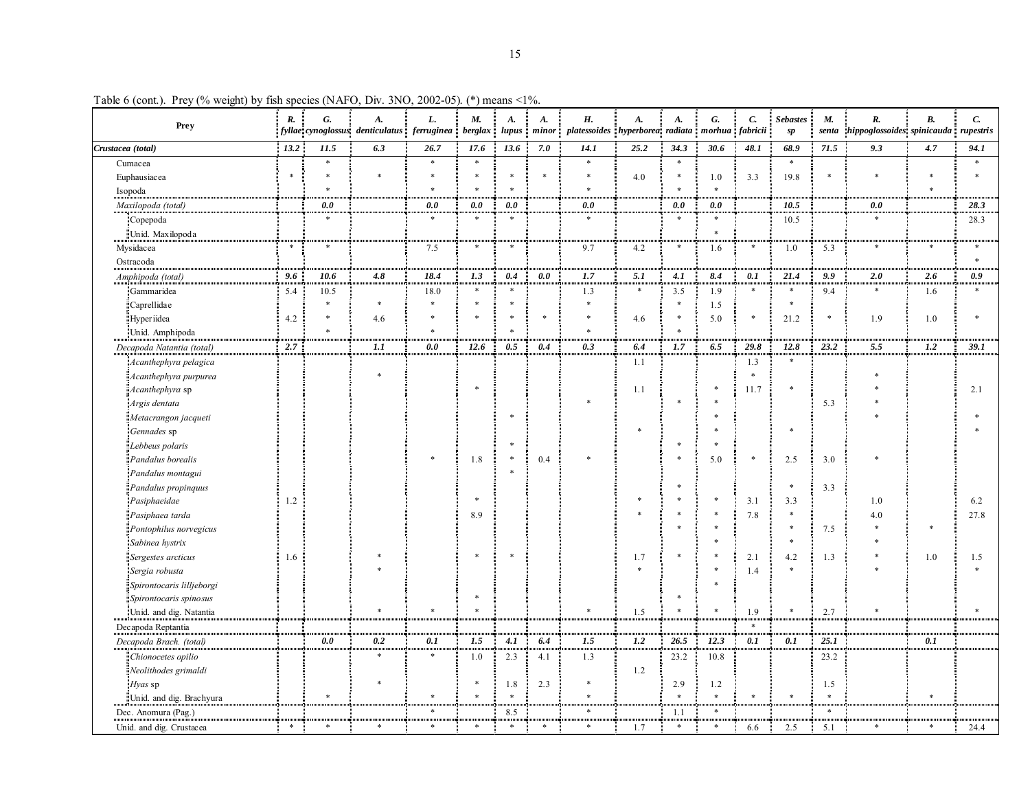| Prey                      | $\boldsymbol{R}$ . | G.     | A.<br>$\left  fyl$ lae $\right $ cynoglossus $\left  \right $ denticulatus $\left  \right $ ferruginea | L.     | M.<br>berglax | A.<br>lupus | <b>A.</b><br>minor | Н.<br>platessoides hyperborea radiata morhua | A.     | A.     | G.     | $\boldsymbol{C}$<br>fabricii | <b>Sebastes</b><br>sp | M.<br>senta   | R.<br>$\left\  hip poglos soides \right\  spinicauda \left\ $ | В.     | C.<br>rupestris |
|---------------------------|--------------------|--------|--------------------------------------------------------------------------------------------------------|--------|---------------|-------------|--------------------|----------------------------------------------|--------|--------|--------|------------------------------|-----------------------|---------------|---------------------------------------------------------------|--------|-----------------|
| Crustacea (total)         | 13.2               | 11.5   | 6.3                                                                                                    | 26.7   | 17.6          | 13.6        | 7.0                | 14.1                                         | 25.2   | 34.3   | 30.6   | 48.1                         | 68.9                  | 71.5          | 9.3                                                           | 4.7    | 94.1            |
| Cumacea                   |                    | $\ast$ |                                                                                                        | $\ast$ | $\ast$        |             |                    | $\ast$                                       |        | $\ast$ |        |                              | $\ast$                |               |                                                               |        |                 |
| Euphausiacea              | $\ast$             | $\ast$ | $\ast$                                                                                                 | $\ast$ | $\ast$        | $\ast$      | $\ast$             | $\ast$                                       | 4.0    | $\ast$ | 1.0    | 3.3                          | 19.8                  | $\frac{1}{2}$ |                                                               | $\ast$ |                 |
| Isopoda                   |                    | $\ast$ |                                                                                                        | $\ast$ | $\ast$        | $\ast$      |                    | $\ast$                                       |        | $\ast$ | $\ast$ |                              |                       |               |                                                               | $\ast$ |                 |
| Maxilopoda (total)        |                    | 0.0    |                                                                                                        | 0.0    | 0.0           | 0.0         |                    | 0.0                                          |        | 0.0    | 0.0    |                              | 10.5                  |               | 0.0                                                           |        | 28.3            |
| Copepoda                  |                    | $\ast$ |                                                                                                        | $\ast$ | $\ast$        | $\ast$      |                    | $\ast$                                       |        | $\ast$ | $\ast$ |                              | 10.5                  |               | $\ast$                                                        |        | 28.3            |
| Unid. Maxilopoda          |                    |        |                                                                                                        |        |               |             |                    |                                              |        |        | $\ast$ |                              |                       |               |                                                               |        |                 |
| Mysidacea                 | $\ast$             | $\ast$ |                                                                                                        | 7.5    | $\ast$        | $\ast$      |                    | 9.7                                          | 4.2    | $\ast$ | 1.6    | $\ast$                       | 1.0                   | 5.3           | $\ast$                                                        | $\ast$ | $\ast$          |
| Ostracoda                 |                    |        |                                                                                                        |        |               |             |                    |                                              |        |        |        |                              |                       |               |                                                               |        |                 |
| Amphipoda (total)         | 9.6                | 10.6   | 4.8                                                                                                    | 18.4   | 1.3           | 0.4         | 0.0                | 1.7                                          | 5.1    | 4.1    | 8.4    | 0.1                          | 21.4                  | 9.9           | 2.0                                                           | 2.6    | 0.9             |
| Gammaridea                | 5.4                | 10.5   |                                                                                                        | 18.0   | $\ast$        | $\ast$      |                    | 1.3                                          | $\ast$ | 3.5    | 1.9    | $\ast$                       | $\ast$                | 9.4           | $\ast$                                                        | 1.6    | $\ast$          |
| Caprellidae               |                    | $\ast$ | $\ast$                                                                                                 | $\ast$ | $\ast$        | $\ast$      |                    | $\ast$                                       |        | $\ast$ | 1.5    |                              | $\ast$                |               |                                                               |        |                 |
| Hyperiidea                | 4.2                | $\ast$ | 4.6                                                                                                    | $\ast$ | $\ast$        | *           | $\ast$             |                                              | 4.6    | $\ast$ | 5.0    | $\ast$                       | 21.2                  | $\ast$        | 1.9                                                           | 1.0    |                 |
| Unid. Amphipoda           |                    | $\ast$ |                                                                                                        | $\ast$ |               | $\ast$      |                    | $\ast$                                       |        | $\ast$ |        |                              |                       |               |                                                               |        |                 |
| Decapoda Natantia (total) | 2.7                |        | 1.1                                                                                                    | 0.0    | 12.6          | 0.5         | 0.4                | 0.3                                          | 6.4    | 1.7    | 6.5    | 29.8                         | 12.8                  | 23.2          | 5.5                                                           | 1.2    | 39.1            |
| Acanthephyra pelagica     |                    |        |                                                                                                        |        |               |             |                    |                                              | 1.1    |        |        | 1.3                          | $\ast$                |               |                                                               |        |                 |
| Acanthephyra purpurea     |                    |        | $\ast$                                                                                                 |        |               |             |                    |                                              |        |        |        | $\ast$                       |                       |               |                                                               |        |                 |
| Acanthephyra sp           |                    |        |                                                                                                        |        | $\ast$        |             |                    |                                              | 1.1    |        | *      | 11.7                         | $\ast$                |               |                                                               |        | 2.1             |
| Argis dentata             |                    |        |                                                                                                        |        |               |             |                    |                                              |        |        |        |                              |                       | 5.3           |                                                               |        |                 |
| Metacrangon jacqueti      |                    |        |                                                                                                        |        |               | $\ast$      |                    |                                              |        |        |        |                              |                       |               |                                                               |        |                 |
| Gennades sp               |                    |        |                                                                                                        |        |               |             |                    |                                              | $\ast$ |        |        |                              | $\ast$                |               |                                                               |        |                 |
| Lebbeus polaris           |                    |        |                                                                                                        |        |               | $\ast$      |                    |                                              |        | $\ast$ | $\ast$ |                              |                       |               |                                                               |        |                 |
| Pandalus borealis         |                    |        |                                                                                                        | $\ast$ | 1.8           | $\ast$      | 0.4                |                                              |        | $\ast$ | 5.0    | $\ast$                       | 2.5                   | 3.0           |                                                               |        |                 |
| Pandalus montagui         |                    |        |                                                                                                        |        |               | $\ast$      |                    |                                              |        |        |        |                              |                       |               |                                                               |        |                 |
| Pandalus propinquus       |                    |        |                                                                                                        |        |               |             |                    |                                              |        | $\ast$ |        |                              | $\ast$                | 3.3           |                                                               |        |                 |
| Pasiphaeidae              | 1.2                |        |                                                                                                        |        | $\ast$        |             |                    |                                              |        |        |        | 3.1                          | 3.3                   |               | 1.0                                                           |        | 6.2             |
| Pasiphaea tarda           |                    |        |                                                                                                        |        | 8.9           |             |                    |                                              |        |        |        | 7.8                          | $\ast$                |               | 4.0                                                           |        | 27.8            |
| Pontophilus norvegicus    |                    |        |                                                                                                        |        |               |             |                    |                                              |        |        |        |                              | $\ast$                | 7.5           |                                                               |        |                 |
| Sabinea hystrix           |                    |        |                                                                                                        |        |               |             |                    |                                              |        |        |        |                              |                       |               |                                                               |        |                 |
| Sergestes arcticus        | 1.6                |        |                                                                                                        |        | $\ast$        | $\ast$      |                    |                                              | 1.7    | $\ast$ |        | 2.1                          | 4.2                   | 1.3           |                                                               | 1.0    | 1.5             |
| Sergia robusta            |                    |        |                                                                                                        |        |               |             |                    |                                              |        |        |        | 1.4                          | $\ast$                |               |                                                               |        |                 |
| Spirontocaris lilljeborgi |                    |        |                                                                                                        |        |               |             |                    |                                              |        |        |        |                              |                       |               |                                                               |        |                 |
| Spirontocaris spinosus    |                    |        |                                                                                                        |        | $\ast$        |             |                    |                                              |        | $\ast$ |        |                              |                       |               |                                                               |        |                 |
| Unid. and dig. Natantia   |                    |        | $\ast$                                                                                                 | $\ast$ | $\ast$        |             |                    | $\ast$                                       | 1.5    | $\ast$ | $\ast$ | 1.9                          | $\ast$                | 2.7           | $\ast$                                                        |        |                 |
| Decapoda Reptantia        |                    |        |                                                                                                        |        |               |             |                    |                                              |        |        |        | $\ast$                       |                       |               |                                                               |        |                 |
| Decapoda Brach. (total)   |                    | 0.0    | 0.2                                                                                                    | 0.1    | 1.5           | 4.1         | 6.4                | 1.5                                          | 1.2    | 26.5   | 12.3   | 0.1                          | 0.1                   | 25.1          |                                                               | 0.1    |                 |
| Chionocetes opilio        |                    |        | $\ast$                                                                                                 | $\ast$ | 1.0           | 2.3         | 4.1                | 1.3                                          |        | 23.2   | 10.8   |                              |                       | 23.2          |                                                               |        |                 |
| Neolithodes grimaldi      |                    |        |                                                                                                        |        |               |             |                    |                                              | 1.2    |        |        |                              |                       |               |                                                               |        |                 |
| Hyas sp                   |                    |        | $\ast$                                                                                                 |        | $\ast$        | 1.8         | 2.3                | *                                            |        | 2.9    | 1.2    |                              |                       | 1.5           |                                                               |        |                 |
| Unid. and dig. Brachyura  |                    | $\ast$ |                                                                                                        | $\ast$ | $\ast$        | $\ast$      |                    | $\ast$                                       |        | $\ast$ | $\ast$ | $\ast$                       | $\ast$                | $\ast$        |                                                               | $\ast$ |                 |
| Dec. Anomura (Pag.)       |                    |        |                                                                                                        | $\ast$ |               | 8.5         |                    | $\ast$                                       |        | 1.1    | $\ast$ |                              |                       | $\ast$        |                                                               |        |                 |
| Unid. and dig. Crustacea  | $\ast$             | $\ast$ | $\ast$                                                                                                 | $\ast$ | $\ast$        | $\ast$      | $\ast$             | $\ast$                                       | 1.7    | $\ast$ | $\ast$ | 6.6                          | 2.5                   | 5.1           | $\ast$                                                        | $\ast$ | 24.4            |

Table 6 (cont.). Prey (% weight) by fish species (NAFO, Div. 3NO, 2002-05). (\*) means <1%.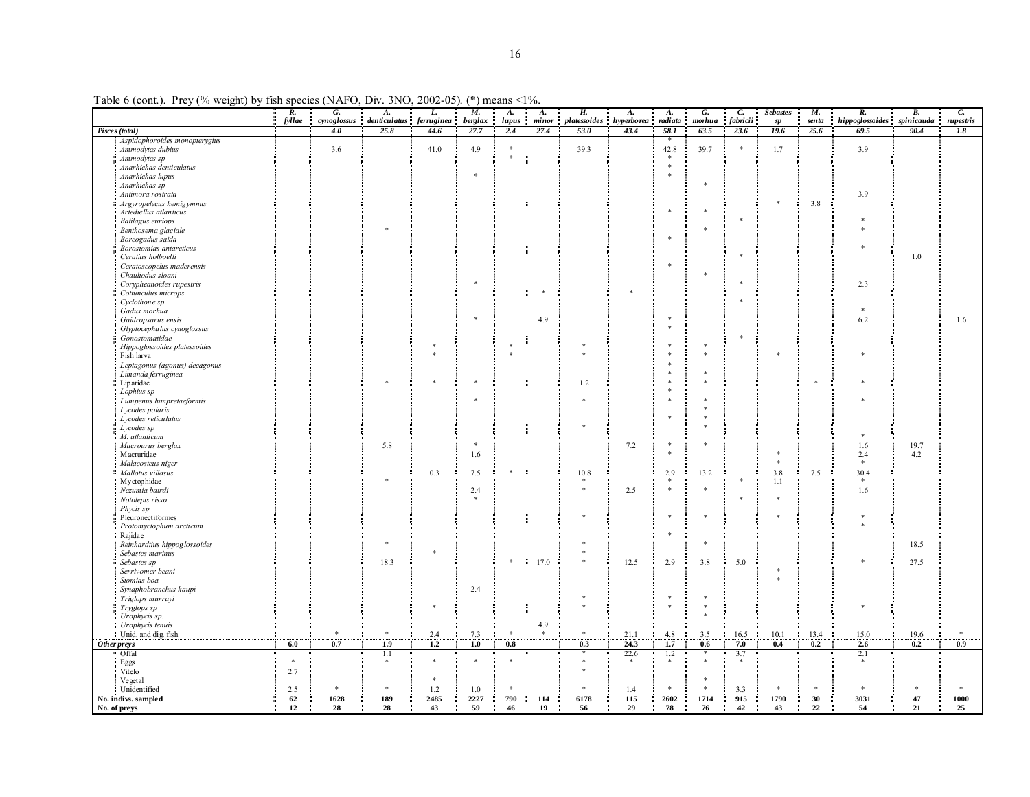Table 6 (cont.). Prey (% weight) by fish species (NAFO, Div. 3NO, 2002-05). (\*) means <1%.

|                                        | $\overline{R}$ . | G.                 | A.                   | L.                 | M.              | A.            | A.             | Н.                              | A.                    | A.              | G.                     | C.                   | <b>Sebastes</b>     | M.            | R.                      | <b>B.</b>          | C.               |
|----------------------------------------|------------------|--------------------|----------------------|--------------------|-----------------|---------------|----------------|---------------------------------|-----------------------|-----------------|------------------------|----------------------|---------------------|---------------|-------------------------|--------------------|------------------|
| Pisces (total)                         | fyllae           | cynoglossus<br>4.0 | denticulatus<br>25.8 | ferruginea<br>44.6 | berglax<br>27.7 | lupus<br>2.4  | minor<br>27.4  | platessoides hyperborea<br>53.0 | 43.4                  | radiata<br>58.1 | $m on$<br>63.5         | fabricii<br>23.6     | $\emph{sp}$<br>19.6 | senta<br>25.6 | hippoglossoides<br>69.5 | spinicauda<br>90.4 | rupestris<br>1.8 |
| Aspidophoroides monopterygius          |                  |                    |                      |                    |                 |               |                |                                 |                       | $\ast$          |                        |                      |                     |               |                         |                    |                  |
| Ammodytes dubius                       |                  | 3.6                |                      | 41.0               | 4.9             | $\ast$        |                | 39.3                            |                       | 42.8            | 39.7                   | ×                    | 1.7                 |               | 3.9                     |                    |                  |
| Ammodytes sp                           |                  |                    |                      |                    |                 | $\pm$         |                |                                 |                       | $\ast$          |                        |                      |                     |               |                         |                    |                  |
| Anarhichas denticulatus                |                  |                    |                      |                    |                 |               |                |                                 |                       | $\ast$          |                        |                      |                     |               |                         |                    |                  |
| Anarhichas lupus                       |                  |                    |                      |                    | $\ast$          |               |                |                                 |                       | $\ast$          |                        |                      |                     |               |                         |                    |                  |
| Anarhichas sp                          |                  |                    |                      |                    |                 |               |                |                                 |                       |                 | $\ast$                 |                      |                     |               |                         |                    |                  |
| Antimora rostrata                      |                  |                    |                      |                    |                 |               |                |                                 |                       |                 |                        |                      |                     |               | 3.9                     |                    |                  |
| Argyropelecus hemigymnus               |                  |                    |                      |                    |                 |               |                |                                 |                       |                 |                        |                      | $\ast$              | 3.8           |                         |                    |                  |
| Artedie llus atlanticus                |                  |                    |                      |                    |                 |               |                |                                 |                       | $\ast$          | $\ast$                 |                      |                     |               |                         |                    |                  |
| <b>Batilagus</b> euriops               |                  |                    |                      |                    |                 |               |                |                                 |                       |                 |                        | ÷                    |                     |               |                         |                    |                  |
| Benthosema glaciale                    |                  |                    |                      |                    |                 |               |                |                                 |                       |                 | $\ast$                 |                      |                     |               |                         |                    |                  |
| Boreogadus saida                       |                  |                    |                      |                    |                 |               |                |                                 |                       | $\cdot$         |                        |                      |                     |               |                         |                    |                  |
| Borostomias antarcticus                |                  |                    |                      |                    |                 |               |                |                                 |                       |                 |                        |                      |                     |               |                         |                    |                  |
| Ceratias holboelli                     |                  |                    |                      |                    |                 |               |                |                                 |                       |                 |                        | ×                    |                     |               |                         | $1.0\,$            |                  |
| Ceratoscopelus maderensis              |                  |                    |                      |                    |                 |               |                |                                 |                       | $\ast$          |                        |                      |                     |               |                         |                    |                  |
| Chauliodus sloani                      |                  |                    |                      |                    |                 |               |                |                                 |                       |                 | ×                      |                      |                     |               |                         |                    |                  |
| Corypheanoides rupestris               |                  |                    |                      |                    | $\ast$          |               |                |                                 |                       |                 |                        | $\ast$               |                     |               | 2.3                     |                    |                  |
| Cottunculus microps                    |                  |                    |                      |                    |                 |               | $\ast$         |                                 | $\ast$                |                 |                        |                      |                     |               |                         |                    |                  |
| Cyclothone sp                          |                  |                    |                      |                    |                 |               |                |                                 |                       |                 |                        | ×                    |                     |               |                         |                    |                  |
| Gadus morhua                           |                  |                    |                      |                    |                 |               |                |                                 |                       |                 |                        |                      |                     |               |                         |                    |                  |
| Gaidropsarus ensis                     |                  |                    |                      |                    | 字               |               | 4.9            |                                 |                       | $\ast$          |                        |                      |                     |               | 6.2                     |                    | 1.6              |
| Glyptocephalus cynoglossus             |                  |                    |                      |                    |                 |               |                |                                 |                       | $\ast$          |                        |                      |                     |               |                         |                    |                  |
| Gonostomatidae                         |                  |                    |                      |                    |                 |               |                |                                 |                       |                 |                        | $\pm$                |                     |               |                         |                    |                  |
| Hippoglossoides platessoides           |                  |                    |                      |                    |                 | 享             |                |                                 |                       |                 | $\frac{1}{2}$          |                      |                     |               |                         |                    |                  |
| Fish larva                             |                  |                    |                      |                    |                 | $\pm$         |                |                                 |                       | ×               | $\ast$                 |                      |                     |               |                         |                    |                  |
| Leptagonus (agonus) decagonus          |                  |                    |                      |                    |                 |               |                |                                 |                       |                 |                        |                      |                     |               |                         |                    |                  |
| Limanda ferruginea                     |                  |                    |                      |                    | $\ast$          |               |                |                                 |                       | $\frac{1}{2}$   | $\mathcal{R}$          |                      |                     |               |                         |                    |                  |
| Liparidae                              |                  |                    |                      |                    |                 |               |                | 1.2                             |                       | ×               |                        |                      |                     | $\ast$        |                         |                    |                  |
| Lophius sp                             |                  |                    |                      |                    |                 |               |                |                                 |                       | ×               |                        |                      |                     |               |                         |                    |                  |
| Lumpenus lumpretaeformis               |                  |                    |                      |                    |                 |               |                |                                 |                       |                 | $\frac{1}{2}$          |                      |                     |               |                         |                    |                  |
| Lycodes polaris<br>Lycodes reticulatus |                  |                    |                      |                    |                 |               |                |                                 |                       |                 | $\frac{1}{2}$          |                      |                     |               |                         |                    |                  |
|                                        |                  |                    |                      |                    |                 |               |                | *                               |                       |                 | $\frac{1}{2}$          |                      |                     |               |                         |                    |                  |
| Lycodes sp<br>M. atlanticum            |                  |                    |                      |                    |                 |               |                |                                 |                       |                 |                        |                      |                     |               |                         |                    |                  |
| Macrourus berglax                      |                  |                    | 5.8                  |                    | $\ast$          |               |                |                                 | 7.2                   | $\ast$          | $\ast$                 |                      |                     |               | 1.6                     | 19.7               |                  |
| Macruridae                             |                  |                    |                      |                    | 1.6             |               |                |                                 |                       | $\ast$          |                        |                      | $\ast$              |               | 2.4                     | 4.2                |                  |
| Malacosteus niger                      |                  |                    |                      |                    |                 |               |                |                                 |                       |                 |                        |                      | $\ast$              |               | $\ast$                  |                    |                  |
| Mallotus villosus                      |                  |                    |                      | 0.3                | 7.5             | $\ast$        |                | 10.8                            |                       | 2.9             | 13.2                   |                      | 3.8                 | 7.5           | 30.4                    |                    |                  |
| Myctophidae                            |                  |                    |                      |                    |                 |               |                |                                 |                       | $\ast$          |                        |                      | 1.1                 |               | $\ast$                  |                    |                  |
| Nezumia bairdi                         |                  |                    |                      |                    | 2.4             |               |                |                                 | 2.5                   | $\ast$          | $\ast$                 |                      |                     |               | 1.6                     |                    |                  |
| Notolepis risso                        |                  |                    |                      |                    |                 |               |                |                                 |                       |                 |                        | $\ast$               |                     |               |                         |                    |                  |
| Phycis sp                              |                  |                    |                      |                    |                 |               |                |                                 |                       |                 |                        |                      |                     |               |                         |                    |                  |
| Pleuronectiformes                      |                  |                    |                      |                    |                 |               |                |                                 |                       | $\ast$          | $\ast$                 |                      |                     |               |                         |                    |                  |
| Protomyctophum arcticum                |                  |                    |                      |                    |                 |               |                |                                 |                       |                 |                        |                      |                     |               |                         |                    |                  |
| Rajidae                                |                  |                    |                      |                    |                 |               |                |                                 |                       | $\ast$          |                        |                      |                     |               |                         |                    |                  |
| Reinhardtius hippoglossoides           |                  |                    |                      |                    |                 |               |                |                                 |                       |                 | $\ast$                 |                      |                     |               |                         | 18.5               |                  |
| Sebastes marinus                       |                  |                    |                      | $\frac{1}{2}$      |                 |               |                |                                 |                       |                 |                        |                      |                     |               |                         |                    |                  |
| Sebastes sp                            |                  |                    | 18.3                 |                    |                 | $\ast$        | 17.0           |                                 | 12.5                  | 2.9             | 3.8                    | 5.0                  |                     |               |                         | 27.5               |                  |
| Serrivomer beani                       |                  |                    |                      |                    |                 |               |                |                                 |                       |                 |                        |                      |                     |               |                         |                    |                  |
| Stomias boa                            |                  |                    |                      |                    |                 |               |                |                                 |                       |                 |                        |                      | $\ast$              |               |                         |                    |                  |
| Synaphobranchus kaupi                  |                  |                    |                      |                    | 2.4             |               |                |                                 |                       |                 |                        |                      |                     |               |                         |                    |                  |
| Triglops murrayi                       |                  |                    |                      |                    |                 |               |                |                                 |                       | ×               | $\ast$                 |                      |                     |               |                         |                    |                  |
| Tryglops sp                            |                  |                    |                      |                    |                 |               |                |                                 |                       | $\ast$          | $\ast$<br>$\mathbf{r}$ |                      |                     |               |                         |                    |                  |
| Urophycis sp.                          |                  |                    |                      |                    |                 |               |                |                                 |                       |                 |                        |                      |                     |               |                         |                    |                  |
| Urophycis tenuis                       |                  | $\ast$             | $\frac{1}{2}$        |                    |                 | $\frac{1}{2}$ | 4.9<br>$\star$ | $\ast$                          |                       |                 |                        |                      |                     |               |                         |                    | $\frac{1}{2}$    |
| Unid. and dig. fish                    |                  | 0.7                |                      | 2.4                | 7.3             |               |                |                                 | 21.1                  | 4.8             | 3.5                    | 16.5                 | 10.1                | 13.4          | 15.0                    | 19.6               |                  |
| Other preys                            | "6.0"            |                    | "ï,")                | "ï."               | "ï,ö"           | 0.8           |                | "0.3"                           | 24.3                  | "ï.7"           | $0.6^{\circ}$          | "7.0"                | "0.4"               | 0.2           | "2.6                    | "0.2"              | "0.9"            |
| Offal                                  | $\ast$           |                    | 1.1                  | $\frac{1}{2}$      | $\ast$          | $\ast$        |                | $\ast$                          | 22.6<br>$\frac{1}{2}$ | 1.2<br>$\ast$   | *                      | 3.7<br>$\frac{1}{2}$ |                     |               | 2.1                     |                    |                  |
| Eggs<br>Vitelo                         | 2.7              |                    |                      |                    |                 |               |                |                                 |                       |                 |                        |                      |                     |               |                         |                    |                  |
| Vegetal                                |                  |                    |                      |                    |                 |               |                |                                 |                       |                 | $\frac{1}{2}$          |                      |                     |               |                         |                    |                  |
| Unidentified                           | 2.5              |                    |                      | 1.2                | 1.0             | $\ast$        |                |                                 | 1.4                   |                 |                        | 3.3                  |                     | $\ast$        |                         | $\ast$             |                  |
| No. indivs. sampled                    | 62               | 1628               | 189                  | 2485               | 2227            | 790           | 114            | 6178                            | 115                   | 2602            | 1714                   | 915                  | 1790                | 30            | 3031                    | 47                 | 1000             |
| No. of preys                           | 12               | 28                 | 28                   | 43                 | 59              | 46            | 19             | 56                              | 29                    | 78              | 76                     | 42                   | 43                  | 22            | 54                      | 21                 | 25               |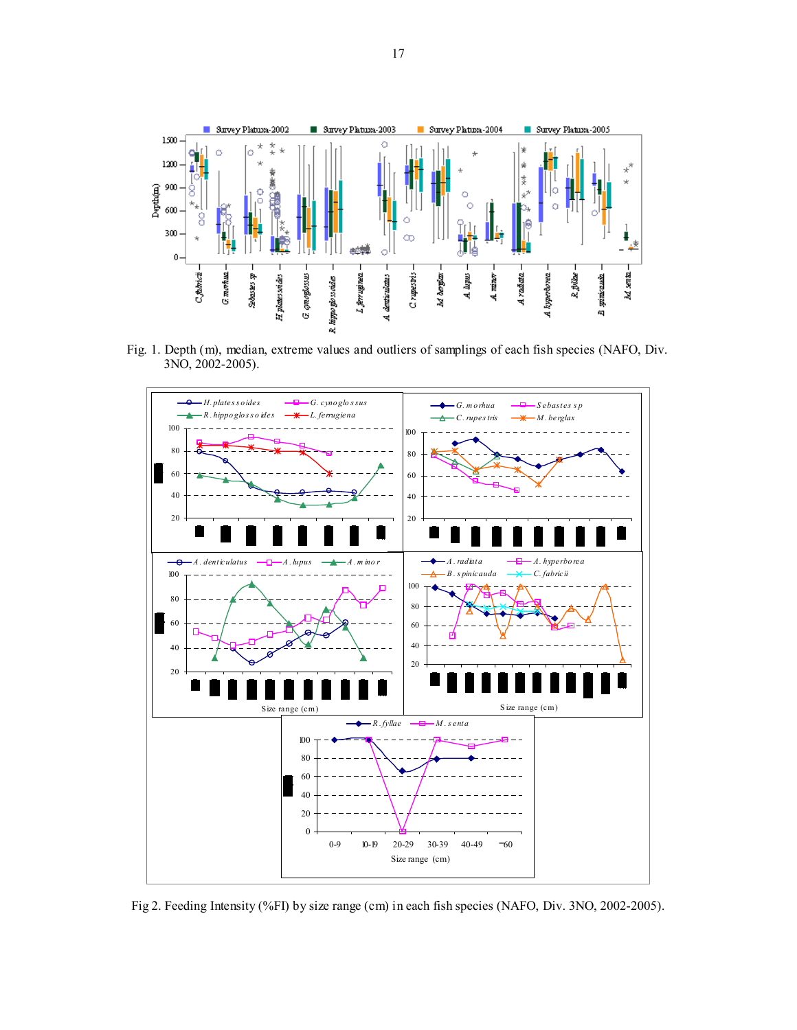

 Fig. 1. Depth (m), median, extreme values and outliers of samplings of each fish species (NAFO, Div. 3NO, 2002-2005).



Fig 2. Feeding Intensity (%FI) by size range (cm) in each fish species (NAFO, Div. 3NO, 2002-2005).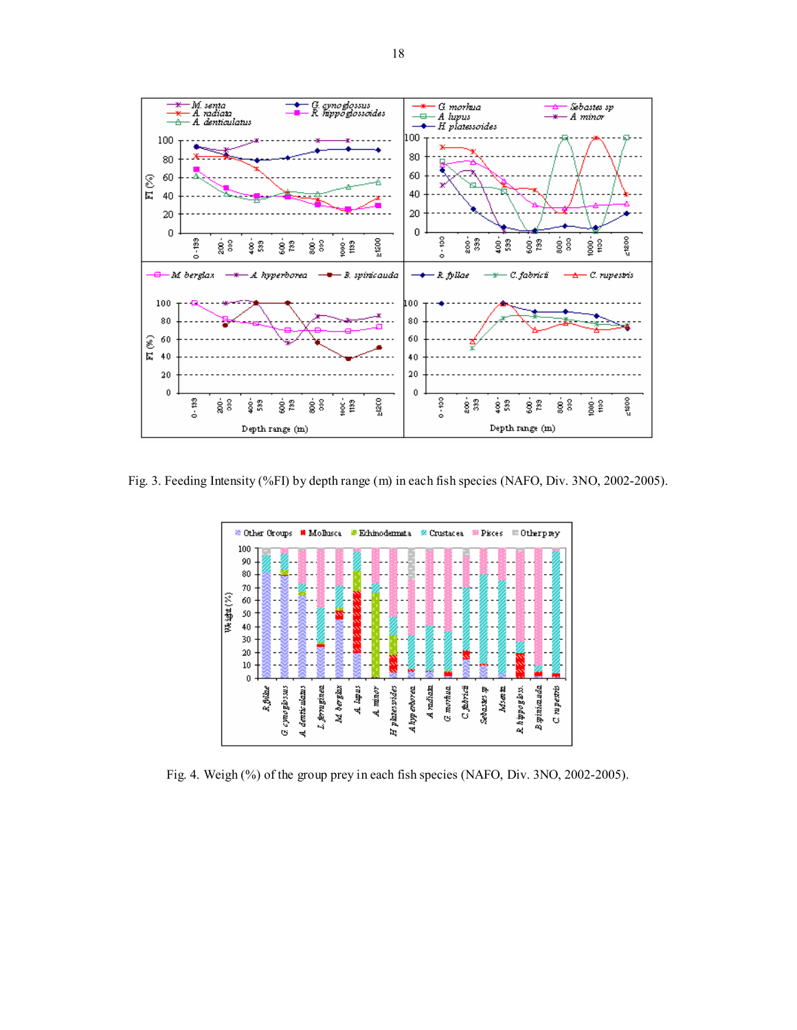

Fig. 3. Feeding Intensity (%FI) by depth range (m) in each fish species (NAFO, Div. 3NO, 2002-2005).



Fig. 4. Weigh (%) of the group prey in each fish species (NAFO, Div. 3NO, 2002-2005).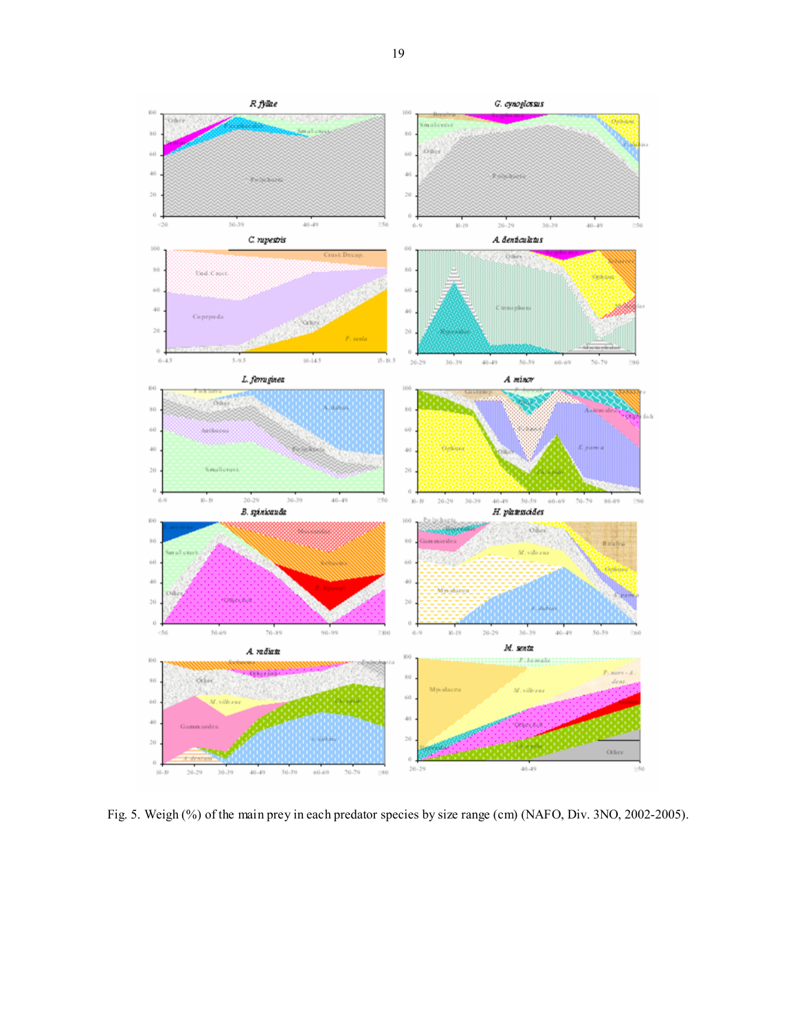

Fig. 5. Weigh (%) of the main prey in each predator species by size range (cm) (NAFO, Div. 3NO, 2002-2005).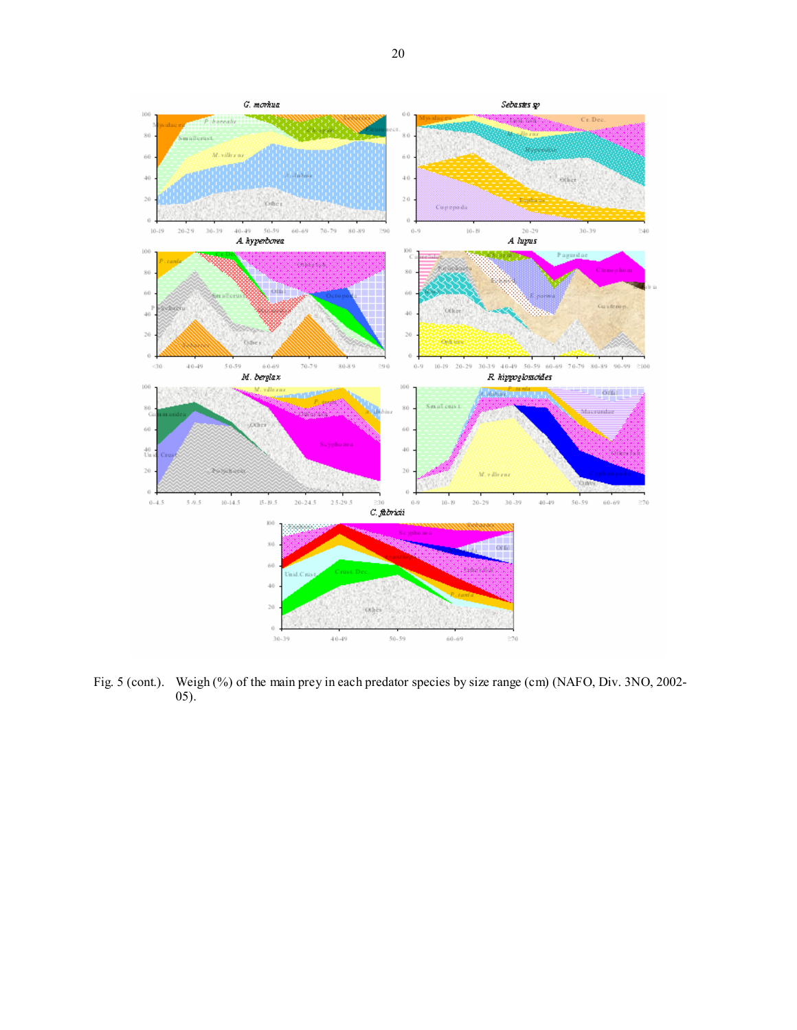

Fig. 5 (cont.). Weigh (%) of the main prey in each predator species by size range (cm) (NAFO, Div. 3NO, 2002-05).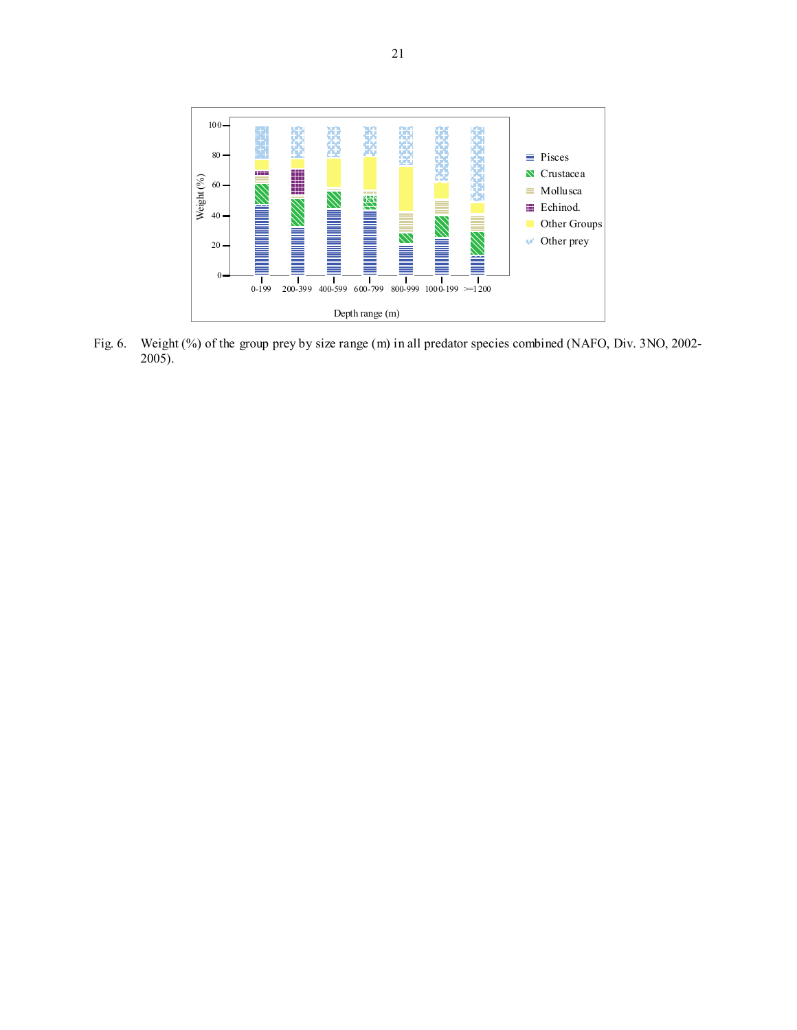

Fig. 6. Weight (%) of the group prey by size range (m) in all predator species combined (NAFO, Div. 3NO, 2002- 2005).